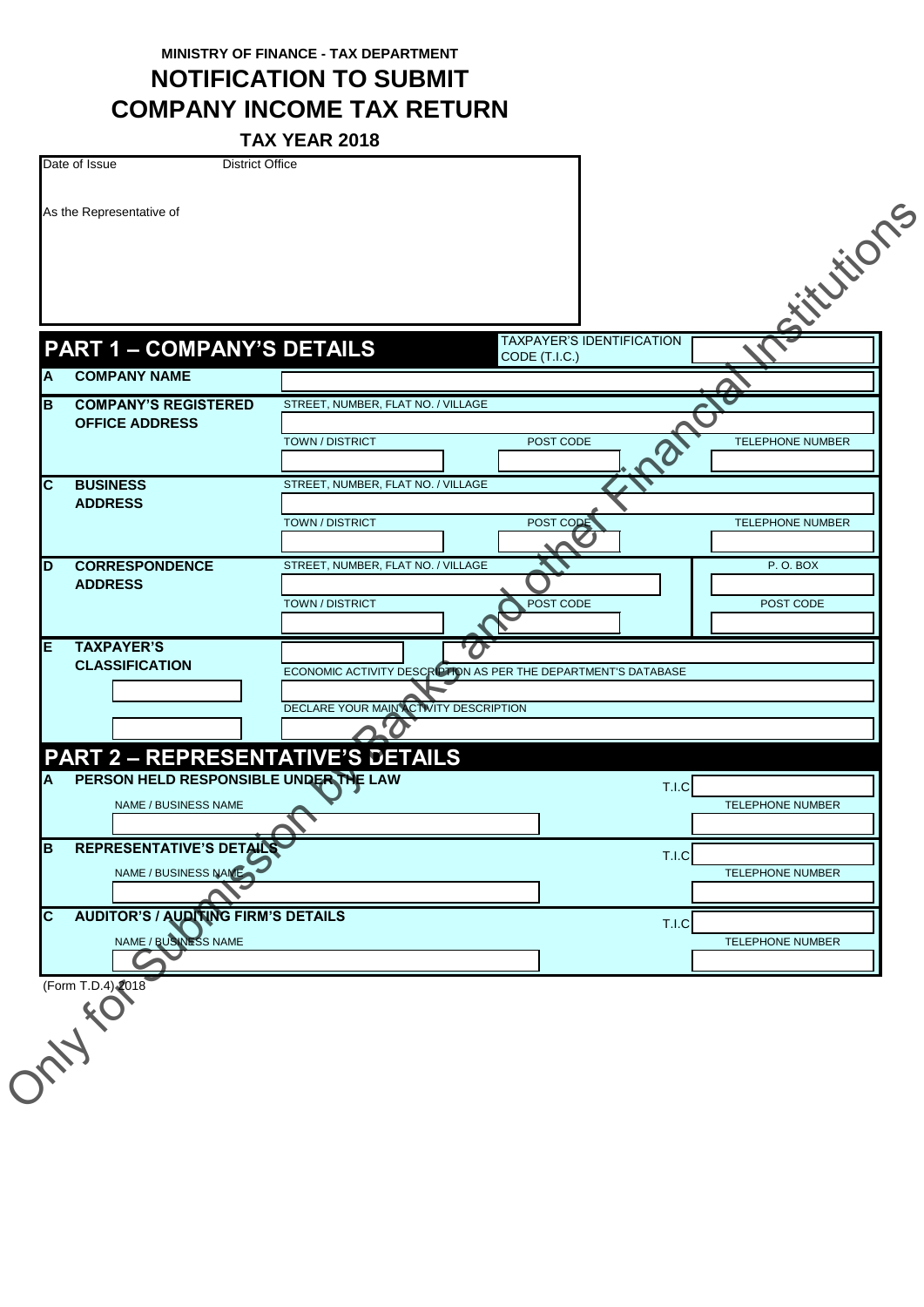**MINISTRY OF FINANCE - TAX DEPARTMENT**

**NOTIFICATION TO SUBMIT COMPANY INCOME TAX RETURN**

**TAX YEAR 2018**

|    | As the Representative of                         |                                                                |                                  |       |                         |
|----|--------------------------------------------------|----------------------------------------------------------------|----------------------------------|-------|-------------------------|
|    |                                                  |                                                                |                                  |       | itutions                |
|    |                                                  |                                                                |                                  |       |                         |
|    |                                                  |                                                                |                                  |       |                         |
|    | <b>PART 1 - COMPANY'S DETAILS</b>                |                                                                | <b>TAXPAYER'S IDENTIFICATION</b> |       |                         |
| A  | <b>COMPANY NAME</b>                              |                                                                | CODE (T.I.C.)                    |       |                         |
| B  | <b>COMPANY'S REGISTERED</b>                      | STREET, NUMBER, FLAT NO. / VILLAGE                             |                                  |       |                         |
|    | <b>OFFICE ADDRESS</b>                            |                                                                |                                  |       |                         |
|    |                                                  | TOWN / DISTRICT                                                | POST CODE                        |       | <b>TELEPHONE NUMBER</b> |
| C  | <b>BUSINESS</b>                                  | STREET, NUMBER, FLAT NO. / VILLAGE                             |                                  |       |                         |
|    | <b>ADDRESS</b>                                   | <b>TOWN / DISTRICT</b>                                         | POST CODE                        |       | <b>TELEPHONE NUMBER</b> |
|    |                                                  |                                                                |                                  |       |                         |
| D  | <b>CORRESPONDENCE</b><br><b>ADDRESS</b>          | STREET, NUMBER, FLAT NO. / VILLAGE                             |                                  |       | P.O.BOX                 |
|    |                                                  | <b>TOWN / DISTRICT</b>                                         | POST CODE                        |       | POST CODE               |
|    |                                                  |                                                                |                                  |       |                         |
| Е  | <b>TAXPAYER'S</b><br><b>CLASSIFICATION</b>       | ECONOMIC ACTIVITY DESCRIPTION AS PER THE DEPARTMENT'S DATABASE |                                  |       |                         |
|    |                                                  |                                                                |                                  |       |                         |
|    |                                                  | DECLARE YOUR MAIN ACTIVITY DESCRIPTION                         |                                  |       |                         |
|    | <b>PART 2 - REPRESENTATIVE'S DETAILS</b>         |                                                                |                                  |       |                         |
| A  | PERSON HELD RESPONSIBLE UNDER THE LAW            |                                                                |                                  | T.I.C |                         |
|    | NAME / BUSINESS NAME                             |                                                                |                                  |       | TELEPHONE NUMBER        |
|    |                                                  |                                                                |                                  |       |                         |
| ΙB | REPRESENTATIVE'S DETAILS<br>NAME / BUSINESS NAME |                                                                |                                  | T.I.C | TELEPHONE NUMBER        |
|    |                                                  |                                                                |                                  |       |                         |
| C  | <b>AUDITOR'S / AUDITING FIRM'S DETAILS</b>       |                                                                |                                  | T.I.C |                         |
|    | NAME / BUSINESS NAME                             |                                                                |                                  |       | TELEPHONE NUMBER        |
|    |                                                  |                                                                |                                  |       |                         |
|    | (Form T.D.4) 2018                                |                                                                |                                  |       |                         |
|    |                                                  |                                                                |                                  |       |                         |
|    |                                                  |                                                                |                                  |       |                         |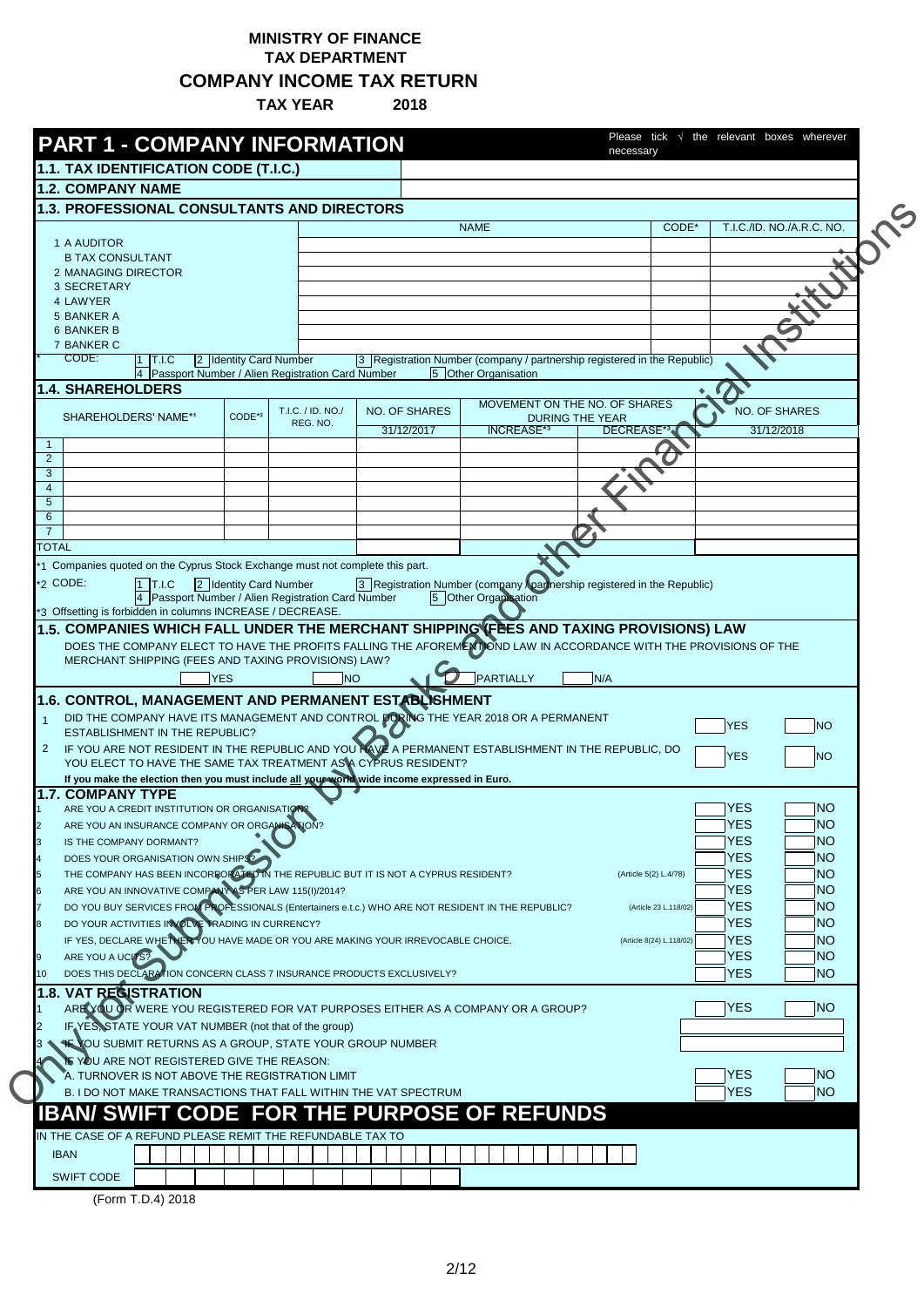## **MINISTRY OF FINANCE TAX DEPARTMENT**

**COMPANY INCOME TAX RETURN**

**TAX YEAR 2018**

|                     | <b>PART 1 - COMPANY INFORMATION</b>                                                                                                                                                                         |                        |                   |                                                                          |                      |                               |                        | necessary                |                          |                           |
|---------------------|-------------------------------------------------------------------------------------------------------------------------------------------------------------------------------------------------------------|------------------------|-------------------|--------------------------------------------------------------------------|----------------------|-------------------------------|------------------------|--------------------------|--------------------------|---------------------------|
|                     | 1.1. TAX IDENTIFICATION CODE (T.I.C.)                                                                                                                                                                       |                        |                   |                                                                          |                      |                               |                        |                          |                          |                           |
|                     | <b>1.2. COMPANY NAME</b>                                                                                                                                                                                    |                        |                   |                                                                          |                      |                               |                        |                          |                          |                           |
|                     | <b>1.3. PROFESSIONAL CONSULTANTS AND DIRECTORS</b>                                                                                                                                                          |                        |                   |                                                                          |                      |                               |                        |                          |                          |                           |
|                     | 1 A AUDITOR                                                                                                                                                                                                 |                        |                   |                                                                          | <b>NAME</b>          |                               |                        | CODE*                    |                          | T.I.C./ID. NO./A.R.C. NO. |
|                     | <b>B TAX CONSULTANT</b>                                                                                                                                                                                     |                        |                   |                                                                          |                      |                               |                        |                          |                          |                           |
|                     | 2 MANAGING DIRECTOR                                                                                                                                                                                         |                        |                   |                                                                          |                      |                               |                        |                          |                          |                           |
|                     | 3 SECRETARY                                                                                                                                                                                                 |                        |                   |                                                                          |                      |                               |                        |                          |                          |                           |
|                     | 4 LAWYER<br>5 BANKER A                                                                                                                                                                                      |                        |                   |                                                                          |                      |                               |                        |                          |                          |                           |
|                     | <b>6 BANKER B</b>                                                                                                                                                                                           |                        |                   |                                                                          |                      |                               |                        |                          |                          |                           |
|                     | 7 BANKER C                                                                                                                                                                                                  |                        |                   |                                                                          |                      |                               |                        |                          |                          |                           |
|                     | CODE:<br>$1$ T.I.C                                                                                                                                                                                          | 2 Identity Card Number |                   | 3 Registration Number (company / partnership registered in the Republic) |                      |                               |                        |                          |                          |                           |
|                     | 4 Passport Number / Alien Registration Card Number<br><b>1.4. SHAREHOLDERS</b>                                                                                                                              |                        |                   |                                                                          | 5 Other Organisation |                               |                        |                          |                          |                           |
|                     |                                                                                                                                                                                                             |                        | T.I.C. / ID. NO./ | <b>NO. OF SHARES</b>                                                     |                      | MOVEMENT ON THE NO. OF SHARES |                        |                          |                          | <b>NO. OF SHARES</b>      |
|                     | SHAREHOLDERS' NAME*1                                                                                                                                                                                        | CODE*2                 | REG. NO.          |                                                                          |                      |                               | <b>DURING THE YEAR</b> |                          |                          |                           |
| -1                  |                                                                                                                                                                                                             |                        |                   | 31/12/2017                                                               | <b>INCREASE*3</b>    |                               |                        | DECREASE*34              |                          | 31/12/2018                |
| $\overline{2}$      |                                                                                                                                                                                                             |                        |                   |                                                                          |                      |                               |                        |                          |                          |                           |
| 3                   |                                                                                                                                                                                                             |                        |                   |                                                                          |                      |                               |                        |                          |                          |                           |
| $\overline{4}$<br>5 |                                                                                                                                                                                                             |                        |                   |                                                                          |                      |                               |                        |                          |                          |                           |
| 6                   |                                                                                                                                                                                                             |                        |                   |                                                                          |                      |                               |                        |                          |                          |                           |
| 7                   |                                                                                                                                                                                                             |                        |                   |                                                                          |                      |                               |                        |                          |                          |                           |
| <b>TOTAL</b>        |                                                                                                                                                                                                             |                        |                   |                                                                          |                      |                               |                        |                          |                          |                           |
|                     | 1 Companies quoted on the Cyprus Stock Exchange must not complete this part.                                                                                                                                |                        |                   |                                                                          |                      |                               |                        |                          |                          |                           |
|                     | 2 CODE:<br>$1$ T.I.C                                                                                                                                                                                        | 2 Identity Card Number |                   | 3 Registration Number (company Apartnership registered in the Republic)  |                      |                               |                        |                          |                          |                           |
|                     | 4 Passport Number / Alien Registration Card Number<br>*3 Offsetting is forbidden in columns INCREASE / DECREASE.                                                                                            |                        |                   |                                                                          | 5 Other Organisation |                               |                        |                          |                          |                           |
|                     |                                                                                                                                                                                                             |                        |                   |                                                                          |                      |                               |                        |                          |                          |                           |
|                     | 1.5. COMPANIES WHICH FALL UNDER THE MERCHANT SHIPPING (FBES AND TAXING PROVISIONS) LAW<br>DOES THE COMPANY ELECT TO HAVE THE PROFITS FALLING THE AFOREMENT OND LAW IN ACCORDANCE WITH THE PROVISIONS OF THE |                        |                   |                                                                          |                      |                               |                        |                          |                          |                           |
|                     | MERCHANT SHIPPING (FEES AND TAXING PROVISIONS) LAW?                                                                                                                                                         | <b>YES</b>             | <b>NO</b>         |                                                                          | PARTIALLY            |                               | N/A                    |                          |                          |                           |
|                     | 1.6. CONTROL, MANAGEMENT AND PERMANENT ESTABLISHMENT                                                                                                                                                        |                        |                   |                                                                          |                      |                               |                        |                          |                          |                           |
|                     | DID THE COMPANY HAVE ITS MANAGEMENT AND CONTROL DORING THE YEAR 2018 OR A PERMANENT<br><b>ESTABLISHMENT IN THE REPUBLIC?</b>                                                                                |                        |                   |                                                                          |                      |                               |                        |                          | <b>YES</b>               | <b>NO</b>                 |
|                     | IF YOU ARE NOT RESIDENT IN THE REPUBLIC AND YOU NAVE A PERMANENT ESTABLISHMENT IN THE REPUBLIC, DO                                                                                                          |                        |                   |                                                                          |                      |                               |                        |                          |                          |                           |
|                     | YOU ELECT TO HAVE THE SAME TAX TREATMENT AS A CYPRUS RESIDENT?                                                                                                                                              |                        |                   |                                                                          |                      |                               |                        |                          | <b>YES</b>               | <b>NO</b>                 |
|                     | If you make the election then you must include all your world wide income expressed in Euro.                                                                                                                |                        |                   |                                                                          |                      |                               |                        |                          |                          |                           |
|                     | <b>1.7. COMPANY TYPE</b><br>ARE YOU A CREDIT INSTITUTION OR ORGANISATIONS                                                                                                                                   |                        |                   |                                                                          |                      |                               |                        |                          | <b>YES</b>               | <b>NO</b>                 |
|                     | ARE YOU AN INSURANCE COMPANY OR ORGANISATION?                                                                                                                                                               |                        |                   |                                                                          |                      |                               |                        |                          | <b>YES</b>               | NO                        |
|                     | IS THE COMPANY DORMANT?                                                                                                                                                                                     |                        |                   |                                                                          |                      |                               |                        |                          | <b>YES</b>               | <b>NO</b>                 |
|                     | DOES YOUR ORGANISATION OWN SHIPS?                                                                                                                                                                           |                        |                   |                                                                          |                      |                               |                        |                          | <b>YES</b>               | <b>NO</b>                 |
|                     | THE COMPANY HAS BEEN INCORPORATED IN THE REPUBLIC BUT IT IS NOT A CYPRUS RESIDENT?                                                                                                                          |                        |                   |                                                                          |                      |                               |                        | (Article 5(2) L.4/78)    | <b>YES</b>               | <b>NO</b>                 |
|                     | ARE YOU AN INNOVATIVE COMPANY AS PER LAW 115(I)/2014?                                                                                                                                                       |                        |                   |                                                                          |                      |                               |                        |                          | <b>YES</b>               | <b>NO</b>                 |
|                     | DO YOU BUY SERVICES FROM PROFESSIONALS (Entertainers e.t.c.) WHO ARE NOT RESIDENT IN THE REPUBLIC?                                                                                                          |                        |                   |                                                                          |                      |                               |                        | (Article 23 L.118/02)    | <b>YES</b>               | <b>NO</b>                 |
|                     | DO YOUR ACTIVITIES INVOLVE TRADING IN CURRENCY?                                                                                                                                                             |                        |                   |                                                                          |                      |                               |                        | (Article 8(24) L.118/02) | <b>YES</b><br><b>YES</b> | <b>NO</b><br><b>NO</b>    |
|                     | IF YES, DECLARE WHETHER YOU HAVE MADE OR YOU ARE MAKING YOUR IRREVOCABLE CHOICE.                                                                                                                            |                        |                   |                                                                          |                      |                               |                        |                          | <b>YES</b>               | <b>NO</b>                 |
|                     | ARE YOU A UCITS?<br>DOES THIS DECLARATION CONCERN CLASS 7 INSURANCE PRODUCTS EXCLUSIVELY?                                                                                                                   |                        |                   |                                                                          |                      |                               |                        |                          | <b>YES</b>               | <b>NO</b>                 |
|                     | <b>1.8. VAT REGISTRATION</b>                                                                                                                                                                                |                        |                   |                                                                          |                      |                               |                        |                          |                          |                           |
|                     | ARE YOU OR WERE YOU REGISTERED FOR VAT PURPOSES EITHER AS A COMPANY OR A GROUP?                                                                                                                             |                        |                   |                                                                          |                      |                               |                        |                          | <b>YES</b>               | <b>NO</b>                 |
|                     | IF YES, STATE YOUR VAT NUMBER (not that of the group)                                                                                                                                                       |                        |                   |                                                                          |                      |                               |                        |                          |                          |                           |
|                     | <b>NE YOU SUBMIT RETURNS AS A GROUP, STATE YOUR GROUP NUMBER</b>                                                                                                                                            |                        |                   |                                                                          |                      |                               |                        |                          |                          |                           |
|                     | IF YOU ARE NOT REGISTERED GIVE THE REASON:                                                                                                                                                                  |                        |                   |                                                                          |                      |                               |                        |                          |                          |                           |
|                     | A. TURNOVER IS NOT ABOVE THE REGISTRATION LIMIT                                                                                                                                                             |                        |                   |                                                                          |                      |                               |                        |                          | <b>YES</b>               | NO                        |
|                     | B. I DO NOT MAKE TRANSACTIONS THAT FALL WITHIN THE VAT SPECTRUM                                                                                                                                             |                        |                   |                                                                          |                      |                               |                        |                          | <b>YES</b>               | <b>NO</b>                 |
|                     | <b>IBAN/ SWIFT CODE FOR THE PURPOSE OF REFUNDS</b>                                                                                                                                                          |                        |                   |                                                                          |                      |                               |                        |                          |                          |                           |
|                     | IN THE CASE OF A REFUND PLEASE REMIT THE REFUNDABLE TAX TO                                                                                                                                                  |                        |                   |                                                                          |                      |                               |                        |                          |                          |                           |
| <b>IBAN</b>         |                                                                                                                                                                                                             |                        |                   |                                                                          |                      |                               |                        |                          |                          |                           |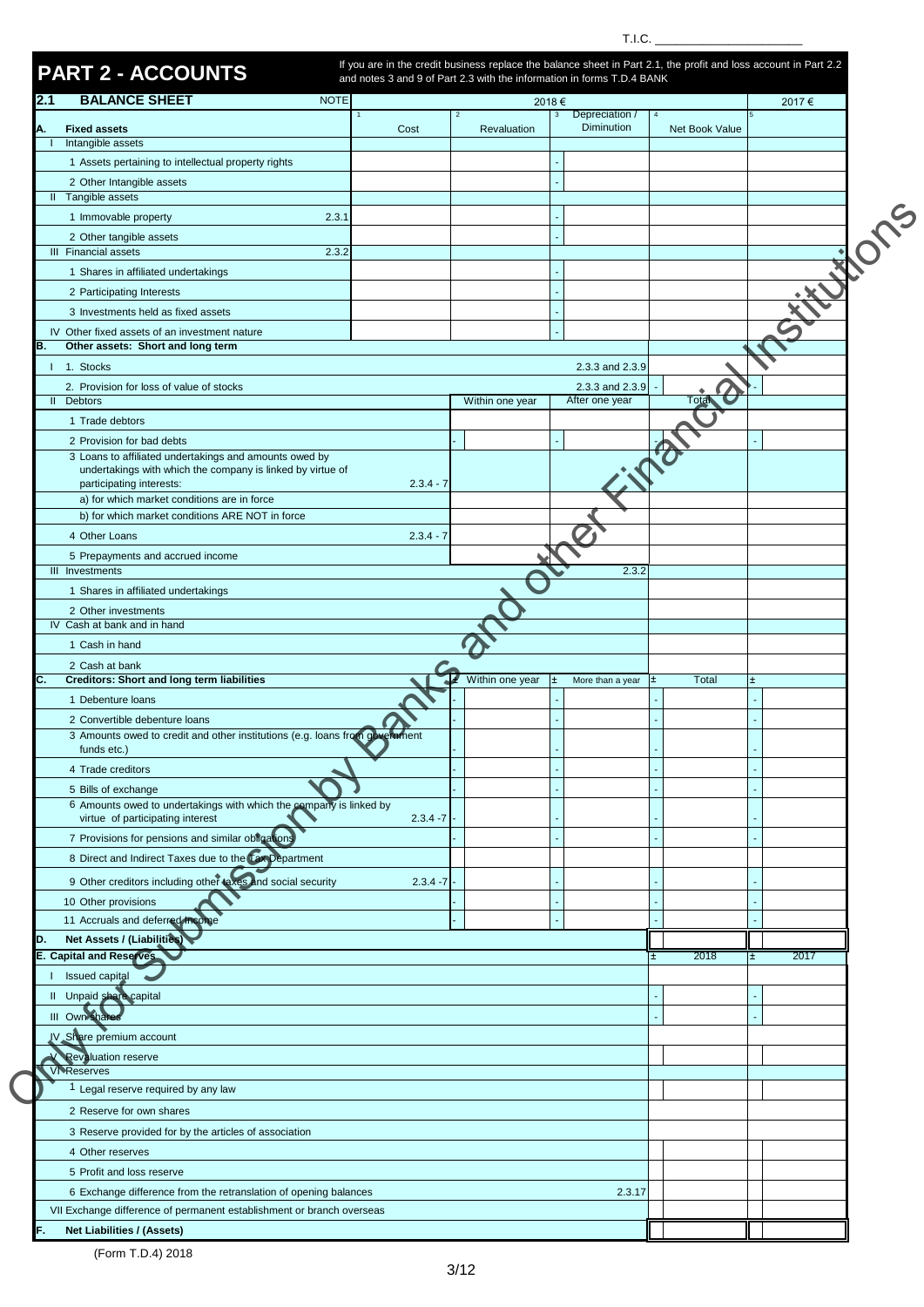T.I.C.  $\_\_$ 

| <b>BALANCE SHEET</b><br>2.1                                                                                                               | <b>NOTE</b> |             |                 | 2018€                            |                | 2017€ |
|-------------------------------------------------------------------------------------------------------------------------------------------|-------------|-------------|-----------------|----------------------------------|----------------|-------|
|                                                                                                                                           |             |             | $\overline{2}$  | Depreciation /<br>$\overline{3}$ | $\overline{4}$ |       |
| <b>Fixed assets</b><br>А.                                                                                                                 |             | Cost        | Revaluation     | <b>Diminution</b>                | Net Book Value |       |
| Intangible assets                                                                                                                         |             |             |                 |                                  |                |       |
| 1 Assets pertaining to intellectual property rights                                                                                       |             |             |                 |                                  |                |       |
| 2 Other Intangible assets<br>Il Tangible assets                                                                                           |             |             |                 |                                  |                |       |
|                                                                                                                                           |             |             |                 |                                  |                |       |
| 1 Immovable property                                                                                                                      | 2.3.1       |             |                 |                                  |                |       |
| 2 Other tangible assets<br>III Financial assets                                                                                           | 2.3.2       |             |                 |                                  |                |       |
| 1 Shares in affiliated undertakings                                                                                                       |             |             |                 |                                  |                |       |
|                                                                                                                                           |             |             |                 |                                  |                |       |
| 2 Participating Interests                                                                                                                 |             |             |                 |                                  |                |       |
| 3 Investments held as fixed assets                                                                                                        |             |             |                 |                                  |                |       |
| IV Other fixed assets of an investment nature<br>Other assets: Short and long term<br>В.                                                  |             |             |                 |                                  |                |       |
| 1 1. Stocks                                                                                                                               |             |             |                 | 2.3.3 and 2.3.9                  |                |       |
|                                                                                                                                           |             |             |                 | 2.3.3 and 2.3.9                  |                |       |
| 2. Provision for loss of value of stocks<br>II Debtors                                                                                    |             |             | Within one year | After one year                   |                |       |
| 1 Trade debtors                                                                                                                           |             |             |                 |                                  |                |       |
| 2 Provision for bad debts                                                                                                                 |             |             |                 |                                  |                |       |
| 3 Loans to affiliated undertakings and amounts owed by                                                                                    |             |             |                 |                                  |                |       |
| undertakings with which the company is linked by virtue of                                                                                |             |             |                 |                                  |                |       |
| participating interests:<br>a) for which market conditions are in force                                                                   |             | $2.3.4 - 7$ |                 |                                  |                |       |
| b) for which market conditions ARE NOT in force                                                                                           |             |             |                 |                                  |                |       |
| 4 Other Loans                                                                                                                             |             | $2.3.4 - 7$ |                 |                                  |                |       |
|                                                                                                                                           |             |             |                 |                                  |                |       |
| 5 Prepayments and accrued income<br>III Investments                                                                                       |             |             |                 | 2.3.2                            |                |       |
| 1 Shares in affiliated undertakings                                                                                                       |             |             |                 |                                  |                |       |
| 2 Other investments                                                                                                                       |             |             |                 |                                  |                |       |
| IV Cash at bank and in hand                                                                                                               |             |             |                 |                                  |                |       |
| 1 Cash in hand                                                                                                                            |             |             |                 |                                  |                |       |
| 2 Cash at bank                                                                                                                            |             |             |                 |                                  |                |       |
| <b>Creditors: Short and long term liabilities</b><br>C.                                                                                   |             |             | Within one year | More than a year<br>l±           | Total<br>١±    |       |
| 1 Debenture loans                                                                                                                         |             |             |                 |                                  |                |       |
| 2 Convertible debenture loans                                                                                                             |             |             |                 |                                  |                |       |
| 3 Amounts owed to credit and other institutions (e.g. loans from government                                                               |             |             |                 |                                  |                |       |
| funds etc.)                                                                                                                               |             |             |                 |                                  |                |       |
| 4 Trade creditors                                                                                                                         |             |             |                 |                                  |                |       |
| 5 Bills of exchange<br>6 Amounts owed to undertakings with which the company is linked by                                                 |             |             |                 |                                  |                |       |
| virtue of participating interest                                                                                                          |             | $2.3.4 - 7$ |                 |                                  |                |       |
| 7 Provisions for pensions and similar obligations                                                                                         |             |             |                 |                                  |                |       |
| 8 Direct and Indirect Taxes due to the Tax Department                                                                                     |             |             |                 |                                  |                |       |
| 9 Other creditors including other taxes and social security                                                                               |             |             |                 |                                  |                |       |
|                                                                                                                                           |             | $2.3.4 - 7$ |                 |                                  |                |       |
| 10 Other provisions                                                                                                                       |             |             |                 |                                  |                |       |
| 11 Accruals and deferred inco                                                                                                             |             |             |                 |                                  |                |       |
| <b>Net Assets / (Liabilities)</b><br>D.<br><b>E. Capital and Reserves</b>                                                                 |             |             |                 |                                  | 2018           | 2017  |
|                                                                                                                                           |             |             |                 |                                  |                |       |
| Issued capital                                                                                                                            |             |             |                 |                                  |                |       |
| Il Unpaid share capital                                                                                                                   |             |             |                 |                                  |                |       |
| III Own shares                                                                                                                            |             |             |                 |                                  |                |       |
| IV Share premium account                                                                                                                  |             |             |                 |                                  |                |       |
| <b>Revaluation reserve</b>                                                                                                                |             |             |                 |                                  |                |       |
| <b>VI Reserves</b>                                                                                                                        |             |             |                 |                                  |                |       |
| <sup>1</sup> Legal reserve required by any law                                                                                            |             |             |                 |                                  |                |       |
| 2 Reserve for own shares                                                                                                                  |             |             |                 |                                  |                |       |
| 3 Reserve provided for by the articles of association                                                                                     |             |             |                 |                                  |                |       |
| 4 Other reserves                                                                                                                          |             |             |                 |                                  |                |       |
|                                                                                                                                           |             |             |                 |                                  |                |       |
| 5 Profit and loss reserve                                                                                                                 |             |             |                 |                                  |                |       |
|                                                                                                                                           |             |             |                 | 2.3.17                           |                |       |
| 6 Exchange difference from the retranslation of opening balances<br>VII Exchange difference of permanent establishment or branch overseas |             |             |                 |                                  |                |       |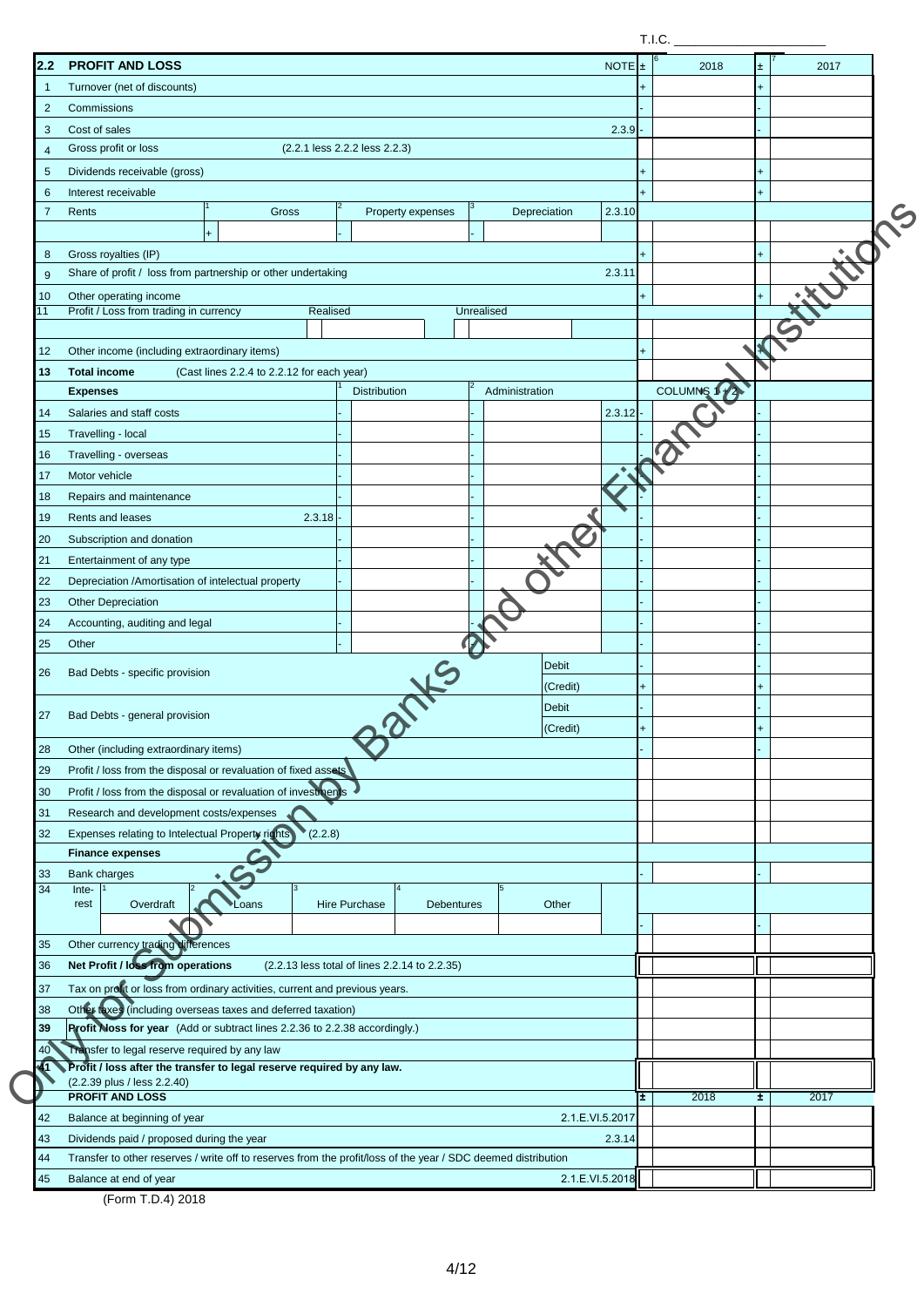| 2.2            | <b>PROFIT AND LOSS</b>                                                                                                  |                                               |                 | <b>NOTE</b> | l±. | 2018        | Ŧ.  | 2017  |
|----------------|-------------------------------------------------------------------------------------------------------------------------|-----------------------------------------------|-----------------|-------------|-----|-------------|-----|-------|
| -1             | Turnover (net of discounts)                                                                                             |                                               |                 |             |     |             | ٠   |       |
| $\overline{2}$ | Commissions                                                                                                             |                                               |                 |             |     |             |     |       |
| 3              | Cost of sales                                                                                                           |                                               |                 | 2.3.9       |     |             |     |       |
| $\overline{4}$ | Gross profit or loss<br>(2.2.1 less 2.2.2 less 2.2.3)                                                                   |                                               |                 |             |     |             |     |       |
| 5              | Dividends receivable (gross)                                                                                            |                                               |                 |             |     |             |     |       |
| 6              | Interest receivable                                                                                                     |                                               |                 |             |     |             |     |       |
| 7              | 12<br>Rents<br>Gross                                                                                                    | Property expenses                             | Depreciation    | 2.3.10      |     |             |     |       |
|                | $+$                                                                                                                     |                                               |                 |             |     |             |     |       |
| 8              | Gross royalties (IP)                                                                                                    |                                               |                 |             |     |             |     |       |
| 9              | Share of profit / loss from partnership or other undertaking                                                            |                                               |                 | 2.3.11      |     |             |     |       |
| 10             | Other operating income                                                                                                  |                                               |                 |             | +   |             | $+$ | Fitch |
| 11             | Profit / Loss from trading in currency<br>Realised                                                                      |                                               | Unrealised      |             |     |             |     |       |
|                |                                                                                                                         |                                               |                 |             |     |             |     |       |
| 12             | Other income (including extraordinary items)                                                                            |                                               |                 |             | +   |             |     |       |
| 13             | <b>Total income</b><br>(Cast lines 2.2.4 to 2.2.12 for each year)                                                       |                                               |                 |             |     |             |     |       |
|                | <b>Expenses</b>                                                                                                         | <b>Distribution</b>                           | Administration  |             |     | COLUMNS 1+2 |     |       |
| 14             | Salaries and staff costs                                                                                                |                                               |                 | 2.3.12      |     |             |     |       |
| 15             | Travelling - local                                                                                                      |                                               |                 |             |     |             |     |       |
| 16             | Travelling - overseas                                                                                                   |                                               |                 |             |     |             |     |       |
| 17             | Motor vehicle                                                                                                           |                                               |                 |             |     |             |     |       |
| 18             | Repairs and maintenance                                                                                                 |                                               |                 |             |     |             |     |       |
| 19             | Rents and leases<br>2.3.18                                                                                              |                                               |                 |             |     |             |     |       |
| 20             | Subscription and donation                                                                                               |                                               |                 |             |     |             |     |       |
| 21             | Entertainment of any type                                                                                               |                                               |                 |             |     |             |     |       |
|                |                                                                                                                         |                                               |                 |             |     |             |     |       |
| 22             | Depreciation /Amortisation of intelectual property                                                                      |                                               |                 |             |     |             |     |       |
| 23             | <b>Other Depreciation</b>                                                                                               |                                               |                 |             |     |             |     |       |
| 24             | Accounting, auditing and legal                                                                                          |                                               |                 |             |     |             |     |       |
| 25             | Other                                                                                                                   |                                               |                 |             |     |             |     |       |
| 26             | Bad Debts - specific provision                                                                                          |                                               | <b>Debit</b>    |             |     |             |     |       |
|                |                                                                                                                         |                                               | (Credit)        |             |     |             |     |       |
| 27             | Bad Debts - general provision                                                                                           |                                               | <b>Debit</b>    |             |     |             |     |       |
|                |                                                                                                                         |                                               | (Credit)        |             |     |             |     |       |
| 28             | Other (including extraordinary items)                                                                                   |                                               |                 |             |     |             |     |       |
| 29             | Profit / loss from the disposal or revaluation of fixed assets                                                          |                                               |                 |             |     |             |     |       |
| 30             | Profit / loss from the disposal or revaluation of investments                                                           |                                               |                 |             |     |             |     |       |
| 31             | Research and development costs/expenses                                                                                 |                                               |                 |             |     |             |     |       |
| 32             | Expenses relating to Intelectual Property rights<br>(2.2.8)                                                             |                                               |                 |             |     |             |     |       |
|                | <b>Finance expenses</b>                                                                                                 |                                               |                 |             |     |             |     |       |
| 33             | <b>Bank charges</b>                                                                                                     |                                               |                 |             |     |             |     |       |
| 34             | Inte-<br>Overdraft<br><b>Hire Purchase</b><br>rest<br>Loans                                                             | <b>Debentures</b>                             | Other           |             |     |             |     |       |
|                |                                                                                                                         |                                               |                 |             |     |             |     |       |
| 35             | Other currency trading differences                                                                                      |                                               |                 |             |     |             |     |       |
| 36             | Net Profit / loss from operations                                                                                       | (2.2.13 less total of lines 2.2.14 to 2.2.35) |                 |             |     |             |     |       |
|                |                                                                                                                         |                                               |                 |             |     |             |     |       |
| 37             | Tax on profit or loss from ordinary activities, current and previous years.                                             |                                               |                 |             |     |             |     |       |
| 38             | Other taxes (including overseas taxes and deferred taxation)                                                            |                                               |                 |             |     |             |     |       |
| 39             | Profit Noss for year (Add or subtract lines 2.2.36 to 2.2.38 accordingly.)                                              |                                               |                 |             |     |             |     |       |
| 40             | Transfer to legal reserve required by any law<br>Profit / loss after the transfer to legal reserve required by any law. |                                               |                 |             |     |             |     |       |
|                | (2.2.39 plus / less 2.2.40)                                                                                             |                                               |                 |             |     |             |     |       |
|                | <b>PROFIT AND LOSS</b>                                                                                                  |                                               |                 |             | ±.  | 2018        | ±.  | 2017  |
| 42             | Balance at beginning of year                                                                                            |                                               | 2.1.E.VI.5.2017 |             |     |             |     |       |
| 43             | Dividends paid / proposed during the year                                                                               |                                               |                 | 2.3.14      |     |             |     |       |
| 44             | Transfer to other reserves / write off to reserves from the profit/loss of the year / SDC deemed distribution           |                                               |                 |             |     |             |     |       |
| 45             | Balance at end of year                                                                                                  |                                               | 2.1.E.VI.5.2018 |             |     |             |     |       |

T.I.C.  $\qquad \qquad$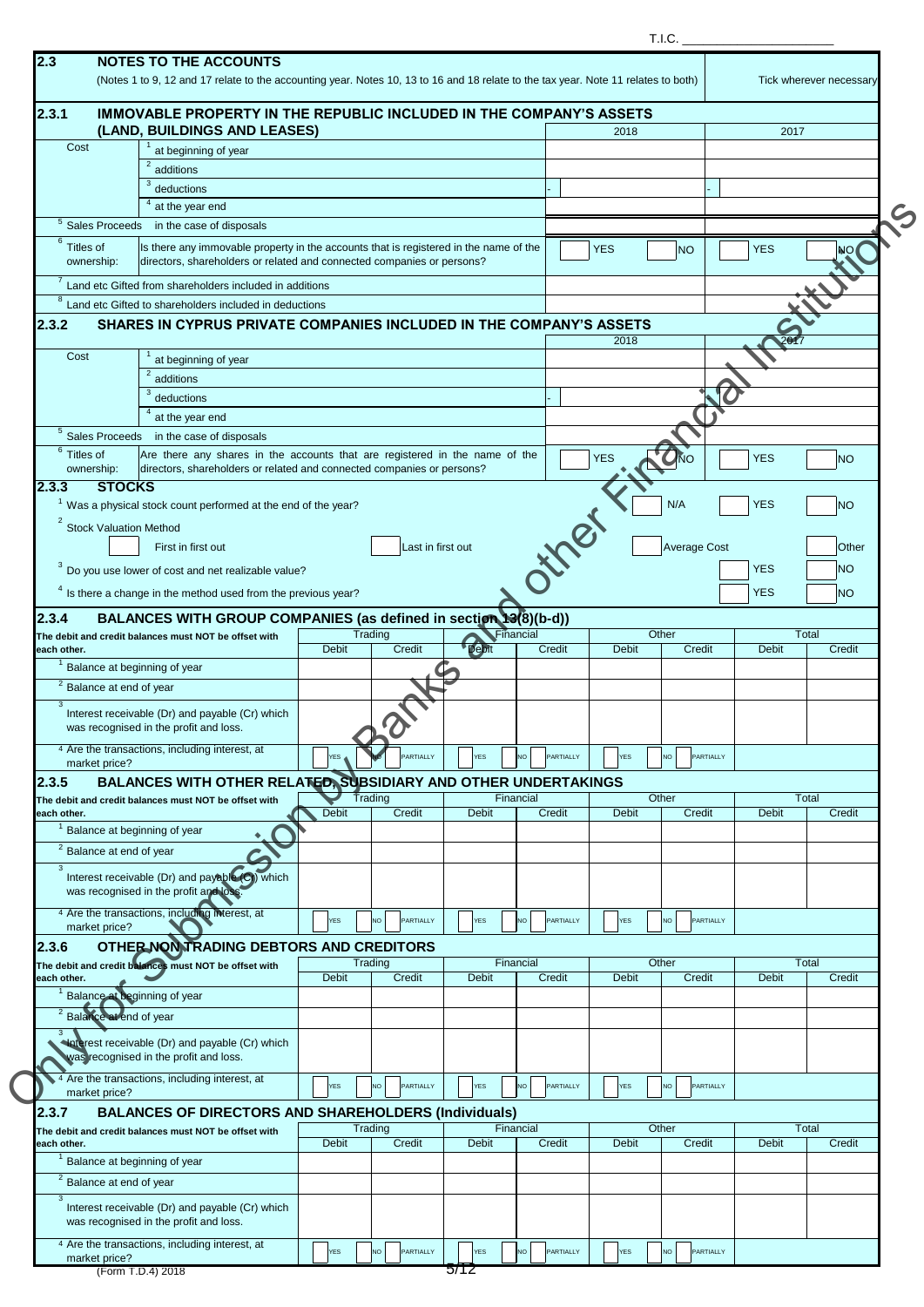|                                                     |                                                                                                                                                                 |              |                        |              |                        |              | T.I.C.                 |              |                         |
|-----------------------------------------------------|-----------------------------------------------------------------------------------------------------------------------------------------------------------------|--------------|------------------------|--------------|------------------------|--------------|------------------------|--------------|-------------------------|
| 2.3                                                 | <b>NOTES TO THE ACCOUNTS</b>                                                                                                                                    |              |                        |              |                        |              |                        |              |                         |
|                                                     | (Notes 1 to 9, 12 and 17 relate to the accounting year. Notes 10, 13 to 16 and 18 relate to the tax year. Note 11 relates to both)                              |              |                        |              |                        |              |                        |              | Tick wherever necessary |
| 2.3.1                                               | <b>IMMOVABLE PROPERTY IN THE REPUBLIC INCLUDED IN THE COMPANY'S ASSETS</b><br>(LAND, BUILDINGS AND LEASES)                                                      |              |                        |              |                        | 2018         |                        | 2017         |                         |
| Cost                                                | at beginning of year                                                                                                                                            |              |                        |              |                        |              |                        |              |                         |
|                                                     | additions                                                                                                                                                       |              |                        |              |                        |              |                        |              |                         |
|                                                     | 3<br>deductions                                                                                                                                                 |              |                        |              |                        |              |                        |              |                         |
|                                                     | $4$ at the year end                                                                                                                                             |              |                        |              |                        |              |                        |              |                         |
| 6                                                   | <sup>5</sup> Sales Proceeds in the case of disposals                                                                                                            |              |                        |              |                        |              |                        |              |                         |
| Titles of<br>ownership:                             | Is there any immovable property in the accounts that is registered in the name of the<br>directors, shareholders or related and connected companies or persons? |              |                        |              |                        | <b>YES</b>   | <b>NO</b>              | <b>YES</b>   | NO                      |
| 8                                                   | Land etc Gifted from shareholders included in additions<br>Land etc Gifted to shareholders included in deductions                                               |              |                        |              |                        |              |                        |              |                         |
| 2.3.2                                               | SHARES IN CYPRUS PRIVATE COMPANIES INCLUDED IN THE COMPANY'S ASSETS                                                                                             |              |                        |              |                        |              |                        |              |                         |
|                                                     |                                                                                                                                                                 |              |                        |              |                        | 2018         |                        |              |                         |
| Cost                                                | at beginning of year                                                                                                                                            |              |                        |              |                        |              |                        |              |                         |
|                                                     | additions                                                                                                                                                       |              |                        |              |                        |              |                        |              |                         |
|                                                     | deductions                                                                                                                                                      |              |                        |              |                        |              |                        |              |                         |
| Sales Proceeds                                      | at the year end<br>in the case of disposals                                                                                                                     |              |                        |              |                        |              |                        |              |                         |
| $6$ Titles of                                       | Are there any shares in the accounts that are registered in the name of the                                                                                     |              |                        |              |                        |              |                        |              |                         |
| ownership:                                          | directors, shareholders or related and connected companies or persons?                                                                                          |              |                        |              |                        | <b>YES</b>   | ŃО                     | <b>YES</b>   | <b>NO</b>               |
| <b>STOCKS</b><br>12.3.3                             |                                                                                                                                                                 |              |                        |              |                        |              |                        |              |                         |
|                                                     | Was a physical stock count performed at the end of the year?                                                                                                    |              |                        |              |                        |              | N/A                    | <b>YES</b>   | <b>NO</b>               |
| <b>Stock Valuation Method</b>                       |                                                                                                                                                                 |              |                        |              | HYPP.                  |              |                        |              |                         |
|                                                     | First in first out                                                                                                                                              |              | Last in first out      |              |                        |              | Average Cost           |              | Other                   |
|                                                     | $3$ Do you use lower of cost and net realizable value?                                                                                                          |              |                        |              |                        |              |                        | <b>YES</b>   | <b>NO</b>               |
|                                                     | $4$ Is there a change in the method used from the previous year?                                                                                                |              |                        |              |                        |              |                        | <b>YES</b>   | <b>NO</b>               |
| 2.3.4                                               | BALANCES WITH GROUP COMPANIES (as defined in section 13(8)(b-d))                                                                                                |              |                        |              |                        |              |                        |              |                         |
|                                                     | The debit and credit balances must NOT be offset with                                                                                                           |              | Trading                |              | Financial              | Other        |                        |              | Total                   |
| each other.                                         |                                                                                                                                                                 | <b>Debit</b> | Credit                 | <b>Debit</b> | Credit                 | <b>Debit</b> | Credit                 | <b>Debit</b> | Credit                  |
|                                                     | Balance at beginning of year                                                                                                                                    |              |                        |              |                        |              |                        |              |                         |
| <sup>2</sup> Balance at end of year<br>$\mathbf{3}$ |                                                                                                                                                                 |              |                        |              |                        |              |                        |              |                         |
|                                                     | Interest receivable (Dr) and payable (Cr) which                                                                                                                 |              |                        |              |                        |              |                        |              |                         |
|                                                     | was recognised in the profit and loss.<br>4 Are the transactions, including interest, at                                                                        |              |                        |              |                        |              |                        |              |                         |
| market price?                                       |                                                                                                                                                                 | <b>YES</b>   | PARTIALLY              | <b>YES</b>   | NO<br>PARTIALLY        | <b>YES</b>   | PARTIALLY<br><b>NO</b> |              |                         |
| 12.3.5                                              | BALANCES WITH OTHER RELATED, SUBSIDIARY AND OTHER UNDERTAKINGS                                                                                                  |              |                        |              |                        |              |                        |              |                         |
|                                                     | The debit and credit balances must NOT be offset with                                                                                                           |              | Trading                |              | Financial              | Other        |                        |              | Total                   |
| each other.                                         | Balance at beginning of year                                                                                                                                    | <b>Debit</b> | Credit                 | <b>Debit</b> | Credit                 | <b>Debit</b> | Credit                 | <b>Debit</b> | Credit                  |
| <sup>2</sup> Balance at end of year                 |                                                                                                                                                                 |              |                        |              |                        |              |                        |              |                         |
| $\mathbf{3}$                                        |                                                                                                                                                                 |              |                        |              |                        |              |                        |              |                         |
|                                                     | Interest receivable (Dr) and payable (C) which<br>was recognised in the profit and loss                                                                         |              |                        |              |                        |              |                        |              |                         |
|                                                     | 4 Are the transactions, including interest, at                                                                                                                  |              |                        |              |                        |              |                        |              |                         |
| market price?                                       |                                                                                                                                                                 | <b>YES</b>   | PARTIALLY<br><b>NO</b> | <b>YES</b>   | <b>NO</b><br>PARTIALLY | <b>YES</b>   | PARTIALLY<br>NO.       |              |                         |
| 2.3.6                                               | OTHER NONTRADING DEBTORS AND CREDITORS                                                                                                                          |              |                        |              |                        |              |                        |              |                         |
|                                                     | The debit and credit balances must NOT be offset with                                                                                                           |              | Trading                |              | Financial              | Other        |                        |              | Total                   |
| each other.                                         | Balance at beginning of year                                                                                                                                    | <b>Debit</b> | Credit                 | <b>Debit</b> | Credit                 | <b>Debit</b> | Credit                 | <b>Debit</b> | Credit                  |
| <sup>2</sup> Balance at end of year                 |                                                                                                                                                                 |              |                        |              |                        |              |                        |              |                         |
| $\mathbf{3}$                                        |                                                                                                                                                                 |              |                        |              |                        |              |                        |              |                         |
|                                                     | Haterest receivable (Dr) and payable (Cr) which<br>was recognised in the profit and loss.                                                                       |              |                        |              |                        |              |                        |              |                         |
| market price?                                       | <sup>4</sup> Are the transactions, including interest, at                                                                                                       | <b>YES</b>   | PARTIALLY<br><b>NO</b> | <b>YES</b>   | PARTIALLY<br>NO.       | <b>YES</b>   | PARTIALLY<br><b>NO</b> |              |                         |
| 2.3.7                                               | <b>BALANCES OF DIRECTORS AND SHAREHOLDERS (Individuals)</b>                                                                                                     |              |                        |              |                        |              |                        |              |                         |
|                                                     | The debit and credit balances must NOT be offset with                                                                                                           |              | Trading                |              | Financial              | Other        |                        |              | Total                   |
| each other.                                         |                                                                                                                                                                 | <b>Debit</b> | Credit                 | <b>Debit</b> | Credit                 | <b>Debit</b> | Credit                 | <b>Debit</b> | Credit                  |
|                                                     | Balance at beginning of year                                                                                                                                    |              |                        |              |                        |              |                        |              |                         |
| <sup>2</sup> Balance at end of year<br>$\mathbf{3}$ | Interest receivable (Dr) and payable (Cr) which                                                                                                                 |              |                        |              |                        |              |                        |              |                         |
|                                                     | was recognised in the profit and loss.<br><sup>4</sup> Are the transactions, including interest, at                                                             | YES          | PARTIALLY<br><b>NO</b> | <b>YES</b>   | NO<br>PARTIALLY        | <b>YES</b>   | PARTIALLY<br>NO.       |              |                         |
| market price?                                       |                                                                                                                                                                 |              |                        |              |                        |              |                        |              |                         |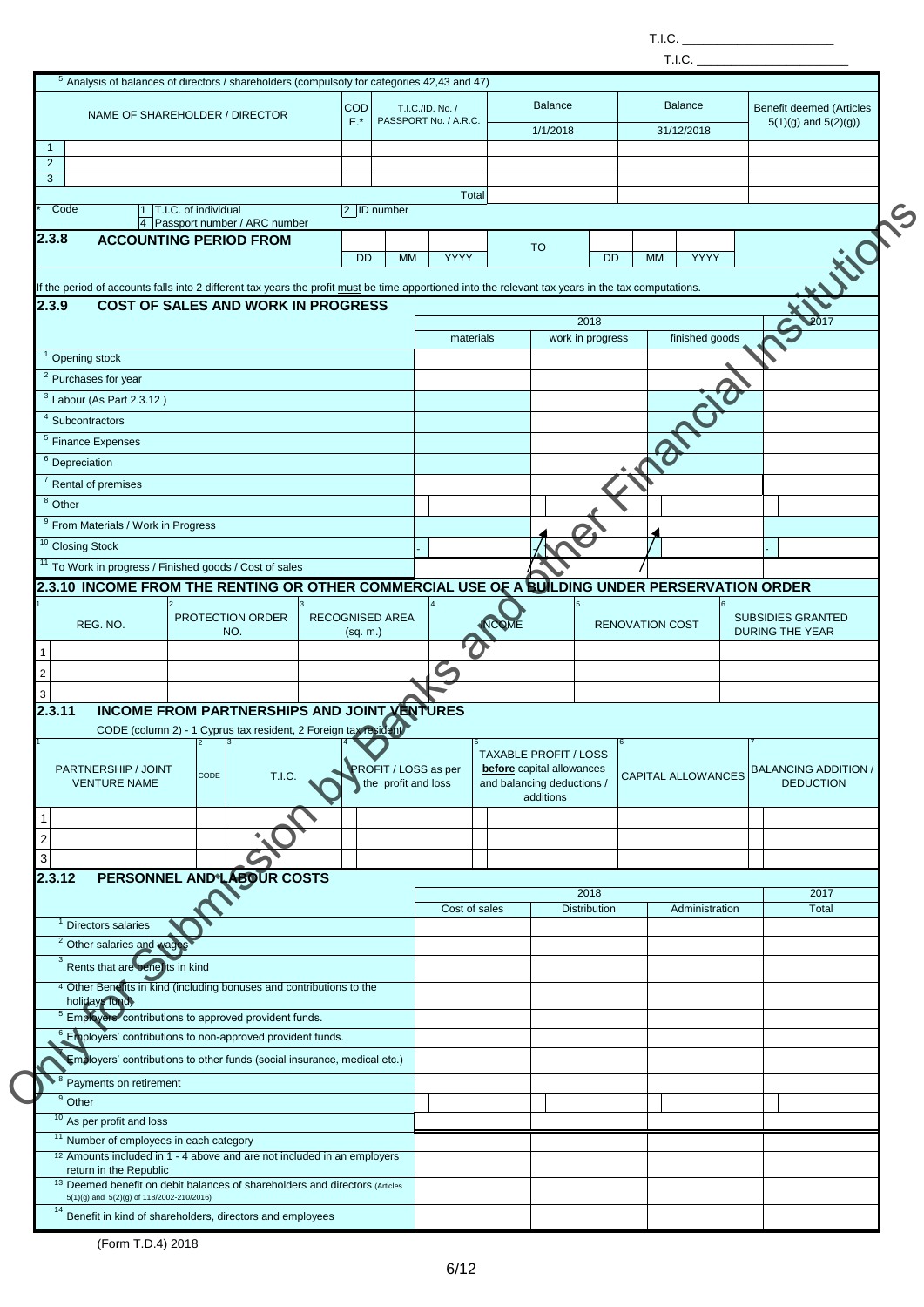T.I.C.  $\_$ 

|                                                           | <sup>5</sup> Analysis of balances of directors / shareholders (compulsoty for categories 42,43 and 47)                                              |                     |                                             |                                           |       |                                                         |                      |                        |                |                                                     |
|-----------------------------------------------------------|-----------------------------------------------------------------------------------------------------------------------------------------------------|---------------------|---------------------------------------------|-------------------------------------------|-------|---------------------------------------------------------|----------------------|------------------------|----------------|-----------------------------------------------------|
|                                                           |                                                                                                                                                     |                     |                                             |                                           |       |                                                         |                      |                        |                |                                                     |
|                                                           | NAME OF SHAREHOLDER / DIRECTOR                                                                                                                      | <b>COD</b><br>$E.*$ |                                             | T.I.C./ID. No. /<br>PASSPORT No. / A.R.C. |       | <b>Balance</b>                                          |                      |                        | <b>Balance</b> | Benefit deemed (Articles<br>$5(1)(g)$ and $5(2)(g)$ |
|                                                           |                                                                                                                                                     |                     |                                             |                                           |       | 1/1/2018                                                |                      |                        | 31/12/2018     |                                                     |
| $\mathbf{1}$                                              |                                                                                                                                                     |                     |                                             |                                           |       |                                                         |                      |                        |                |                                                     |
| $\overline{2}$<br>3                                       |                                                                                                                                                     |                     |                                             |                                           |       |                                                         |                      |                        |                |                                                     |
|                                                           |                                                                                                                                                     |                     |                                             | Total                                     |       |                                                         |                      |                        |                |                                                     |
| Code                                                      | 1 T.I.C. of individual                                                                                                                              |                     | $ 2 $ ID number                             |                                           |       |                                                         |                      |                        |                |                                                     |
|                                                           | 4 Passport number / ARC number                                                                                                                      |                     |                                             |                                           |       |                                                         |                      |                        |                |                                                     |
| 2.3.8                                                     | <b>ACCOUNTING PERIOD FROM</b>                                                                                                                       |                     |                                             |                                           |       | <b>TO</b>                                               |                      |                        |                |                                                     |
|                                                           |                                                                                                                                                     | <b>DD</b>           | <b>MM</b>                                   | YYYY                                      |       |                                                         | <b>DD</b>            | <b>MM</b>              | YYYY           |                                                     |
|                                                           | If the period of accounts falls into 2 different tax years the profit must be time apportioned into the relevant tax years in the tax computations. |                     |                                             |                                           |       |                                                         |                      |                        |                |                                                     |
| 2.3.9                                                     | <b>COST OF SALES AND WORK IN PROGRESS</b>                                                                                                           |                     |                                             |                                           |       |                                                         |                      |                        |                |                                                     |
|                                                           |                                                                                                                                                     |                     |                                             |                                           |       |                                                         | 2018                 |                        |                |                                                     |
|                                                           |                                                                                                                                                     |                     |                                             | materials                                 |       |                                                         | work in progress     |                        | finished goods |                                                     |
| <sup>1</sup> Opening stock                                |                                                                                                                                                     |                     |                                             |                                           |       |                                                         |                      |                        |                |                                                     |
| <sup>2</sup> Purchases for year                           |                                                                                                                                                     |                     |                                             |                                           |       |                                                         |                      |                        |                |                                                     |
| $3$ Labour (As Part 2.3.12)                               |                                                                                                                                                     |                     |                                             |                                           |       |                                                         |                      |                        |                |                                                     |
|                                                           |                                                                                                                                                     |                     |                                             |                                           |       |                                                         |                      |                        |                |                                                     |
| $4$ Subcontractors                                        |                                                                                                                                                     |                     |                                             |                                           |       |                                                         |                      |                        |                |                                                     |
| <sup>5</sup> Finance Expenses                             |                                                                                                                                                     |                     |                                             |                                           |       |                                                         |                      |                        |                |                                                     |
| $6$ Depreciation                                          |                                                                                                                                                     |                     |                                             |                                           |       |                                                         |                      |                        |                |                                                     |
| $7$ Rental of premises                                    |                                                                                                                                                     |                     |                                             |                                           |       |                                                         |                      |                        |                |                                                     |
| $8$ Other                                                 |                                                                                                                                                     |                     |                                             |                                           |       |                                                         |                      |                        |                |                                                     |
| <sup>9</sup> From Materials / Work in Progress            |                                                                                                                                                     |                     |                                             |                                           |       |                                                         |                      |                        |                |                                                     |
| <b>Closing Stock</b>                                      |                                                                                                                                                     |                     |                                             |                                           |       |                                                         |                      |                        |                |                                                     |
|                                                           |                                                                                                                                                     |                     |                                             |                                           |       |                                                         |                      |                        |                |                                                     |
|                                                           | To Work in progress / Finished goods / Cost of sales                                                                                                |                     |                                             |                                           |       |                                                         |                      |                        |                |                                                     |
|                                                           | 2.3.10 INCOME FROM THE RENTING OR OTHER COMMERCIAL USE OF A BUILDING UNDER PERSERVATION ORDER                                                       |                     |                                             |                                           |       |                                                         |                      |                        |                |                                                     |
|                                                           | PROTECTION ORDER                                                                                                                                    | RECOGNISED AREA     |                                             |                                           |       |                                                         |                      |                        |                | <b>SUBSIDIES GRANTED</b>                            |
| REG. NO.                                                  | NO.                                                                                                                                                 |                     |                                             |                                           |       |                                                         |                      |                        |                |                                                     |
|                                                           |                                                                                                                                                     |                     | (sq. m.)                                    |                                           | ICOME |                                                         |                      | <b>RENOVATION COST</b> |                | DURING THE YEAR                                     |
|                                                           |                                                                                                                                                     |                     |                                             |                                           |       |                                                         |                      |                        |                |                                                     |
|                                                           |                                                                                                                                                     |                     |                                             |                                           |       |                                                         |                      |                        |                |                                                     |
|                                                           |                                                                                                                                                     |                     |                                             |                                           |       |                                                         |                      |                        |                |                                                     |
|                                                           |                                                                                                                                                     |                     |                                             |                                           |       |                                                         |                      |                        |                |                                                     |
|                                                           | <b>INCOME FROM PARTNERSHIPS AND JOINT VENTURES</b>                                                                                                  |                     |                                             |                                           |       |                                                         |                      |                        |                |                                                     |
|                                                           | CODE (column 2) - 1 Cyprus tax resident, 2 Foreign tax resident<br>$\vert$ 2<br>$\vert 3 \vert$                                                     |                     |                                             | $\vert 5 \vert$                           |       |                                                         |                      | $\vert 6 \vert$        |                |                                                     |
|                                                           |                                                                                                                                                     |                     |                                             |                                           |       | <b>TAXABLE PROFIT / LOSS</b>                            |                      |                        |                |                                                     |
| PARTNERSHIP / JOINT<br><b>VENTURE NAME</b>                | CODE<br>T.I.C.                                                                                                                                      |                     | PROFIT / LOSS as per<br>the profit and loss |                                           |       | before capital allowances<br>and balancing deductions / |                      | CAPITAL ALLOWANCES     |                | <b>BALANCING ADDITION /</b><br><b>DEDUCTION</b>     |
|                                                           |                                                                                                                                                     |                     |                                             |                                           |       | additions                                               |                      |                        |                |                                                     |
| 2.3.11                                                    |                                                                                                                                                     |                     |                                             |                                           |       |                                                         |                      |                        |                |                                                     |
|                                                           |                                                                                                                                                     |                     |                                             |                                           |       |                                                         |                      |                        |                |                                                     |
|                                                           |                                                                                                                                                     |                     |                                             |                                           |       |                                                         |                      |                        |                |                                                     |
|                                                           |                                                                                                                                                     |                     |                                             |                                           |       |                                                         |                      |                        |                |                                                     |
|                                                           | PERSONNEL AND LABOUR COSTS                                                                                                                          |                     |                                             |                                           |       |                                                         |                      |                        |                |                                                     |
|                                                           |                                                                                                                                                     |                     |                                             | Cost of sales                             |       |                                                         | 2018<br>Distribution |                        | Administration | 2017<br>Total                                       |
| <sup>1</sup> Directors salaries                           |                                                                                                                                                     |                     |                                             |                                           |       |                                                         |                      |                        |                |                                                     |
| <sup>2</sup> Other salaries and wag                       |                                                                                                                                                     |                     |                                             |                                           |       |                                                         |                      |                        |                |                                                     |
| 3                                                         |                                                                                                                                                     |                     |                                             |                                           |       |                                                         |                      |                        |                |                                                     |
| Rents that are benefits in kind                           |                                                                                                                                                     |                     |                                             |                                           |       |                                                         |                      |                        |                |                                                     |
| holidays fund)                                            | 4 Other Benefits in kind (including bonuses and contributions to the                                                                                |                     |                                             |                                           |       |                                                         |                      |                        |                |                                                     |
|                                                           | <sup>5</sup> Employers' contributions to approved provident funds.                                                                                  |                     |                                             |                                           |       |                                                         |                      |                        |                |                                                     |
|                                                           | <sup>6</sup> Employers' contributions to non-approved provident funds.                                                                              |                     |                                             |                                           |       |                                                         |                      |                        |                |                                                     |
|                                                           |                                                                                                                                                     |                     |                                             |                                           |       |                                                         |                      |                        |                |                                                     |
|                                                           | Employers' contributions to other funds (social insurance, medical etc.)                                                                            |                     |                                             |                                           |       |                                                         |                      |                        |                |                                                     |
| <sup>8</sup> Payments on retirement                       |                                                                                                                                                     |                     |                                             |                                           |       |                                                         |                      |                        |                |                                                     |
| <sup>9</sup> Other                                        |                                                                                                                                                     |                     |                                             |                                           |       |                                                         |                      |                        |                |                                                     |
| <sup>10</sup> As per profit and loss                      |                                                                                                                                                     |                     |                                             |                                           |       |                                                         |                      |                        |                |                                                     |
| <sup>11</sup> Number of employees in each category        |                                                                                                                                                     |                     |                                             |                                           |       |                                                         |                      |                        |                |                                                     |
|                                                           | <sup>12</sup> Amounts included in 1 - 4 above and are not included in an employers                                                                  |                     |                                             |                                           |       |                                                         |                      |                        |                |                                                     |
| return in the Republic                                    |                                                                                                                                                     |                     |                                             |                                           |       |                                                         |                      |                        |                |                                                     |
| 2.3.12<br>5(1)(g) and 5(2)(g) of 118/2002-210/2016)<br>14 | <sup>13</sup> Deemed benefit on debit balances of shareholders and directors (Articles                                                              |                     |                                             |                                           |       |                                                         |                      |                        |                |                                                     |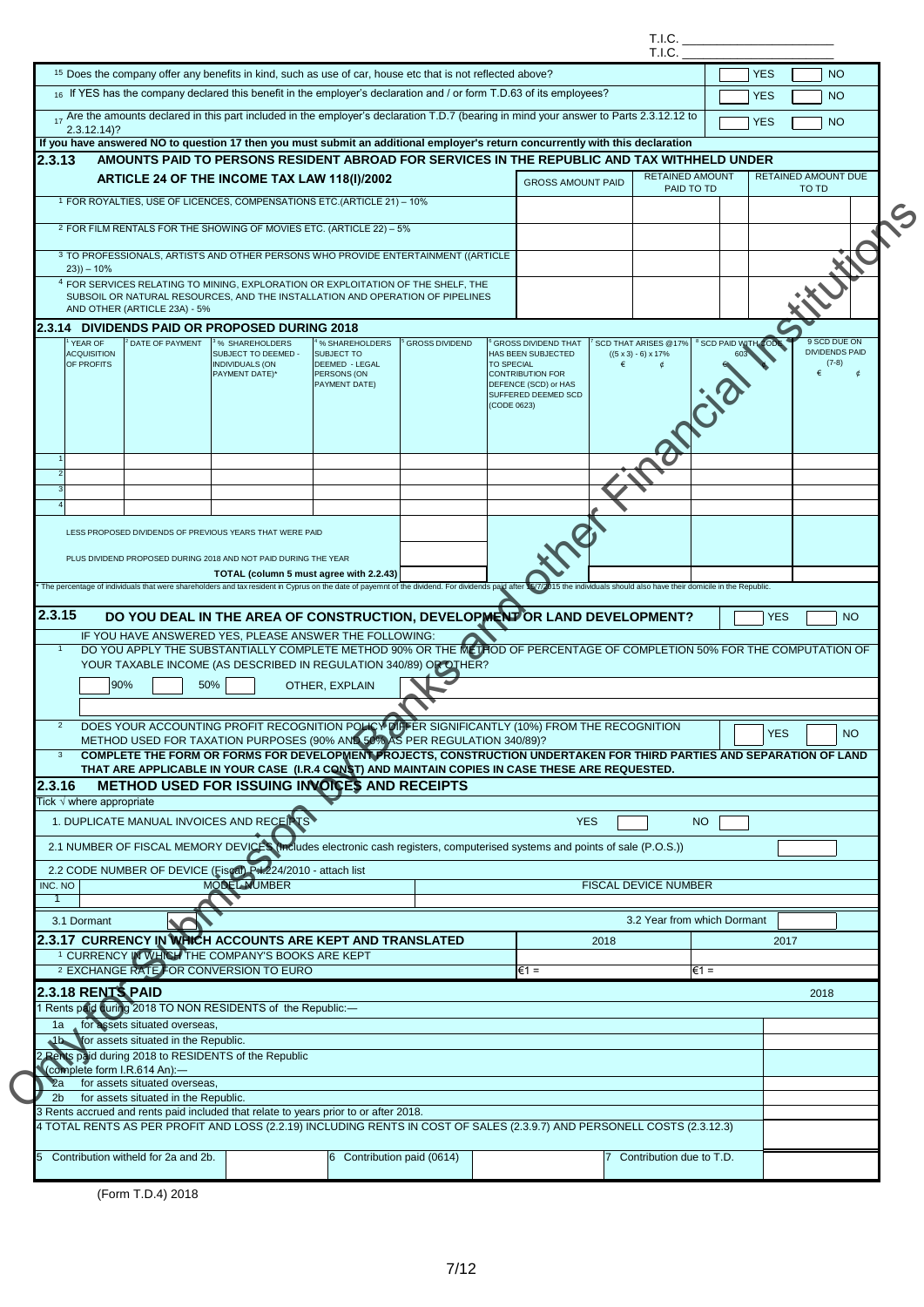|                             |                                  |                                                               |                                                                                                                                                                                                                                                                                                                                                                                                               |                              |                       |                   |                                             |            | T.I.C.                           |                                 |            |       |                                  |
|-----------------------------|----------------------------------|---------------------------------------------------------------|---------------------------------------------------------------------------------------------------------------------------------------------------------------------------------------------------------------------------------------------------------------------------------------------------------------------------------------------------------------------------------------------------------------|------------------------------|-----------------------|-------------------|---------------------------------------------|------------|----------------------------------|---------------------------------|------------|-------|----------------------------------|
|                             |                                  |                                                               | <sup>15</sup> Does the company offer any benefits in kind, such as use of car, house etc that is not reflected above?                                                                                                                                                                                                                                                                                         |                              |                       |                   |                                             |            | T.I.C.                           |                                 | <b>YES</b> |       | <b>NO</b>                        |
|                             |                                  |                                                               | 16 If YES has the company declared this benefit in the employer's declaration and / or form T.D.63 of its employees?                                                                                                                                                                                                                                                                                          |                              |                       |                   |                                             |            |                                  |                                 | <b>YES</b> |       | <b>NO</b>                        |
|                             |                                  |                                                               | 17 Are the amounts declared in this part included in the employer's declaration T.D.7 (bearing in mind your answer to Parts 2.3.12.12 to                                                                                                                                                                                                                                                                      |                              |                       |                   |                                             |            |                                  |                                 | <b>YES</b> |       | <b>NO</b>                        |
|                             | $2.3.12.14$ ?                    |                                                               | If you have answered NO to question 17 then you must submit an additional employer's return concurrently with this declaration                                                                                                                                                                                                                                                                                |                              |                       |                   |                                             |            |                                  |                                 |            |       |                                  |
| 2.3.13                      |                                  |                                                               | AMOUNTS PAID TO PERSONS RESIDENT ABROAD FOR SERVICES IN THE REPUBLIC AND TAX WITHHELD UNDER                                                                                                                                                                                                                                                                                                                   |                              |                       |                   |                                             |            |                                  |                                 |            |       |                                  |
|                             |                                  |                                                               | ARTICLE 24 OF THE INCOME TAX LAW 118(I)/2002                                                                                                                                                                                                                                                                                                                                                                  |                              |                       |                   | <b>GROSS AMOUNT PAID</b>                    |            | <b>RETAINED AMOUNT</b>           |                                 |            |       | RETAINED AMOUNT DUE              |
|                             |                                  |                                                               | <sup>1</sup> FOR ROYALTIES, USE OF LICENCES, COMPENSATIONS ETC.(ARTICLE 21) - 10%                                                                                                                                                                                                                                                                                                                             |                              |                       |                   |                                             |            | PAID TO TD                       |                                 |            | TO TD |                                  |
|                             |                                  |                                                               | <sup>2</sup> FOR FILM RENTALS FOR THE SHOWING OF MOVIES ETC. (ARTICLE 22) - 5%                                                                                                                                                                                                                                                                                                                                |                              |                       |                   |                                             |            |                                  |                                 |            |       |                                  |
|                             |                                  |                                                               |                                                                                                                                                                                                                                                                                                                                                                                                               |                              |                       |                   |                                             |            |                                  |                                 |            |       |                                  |
|                             | $(23)) - 10%$                    |                                                               | 3 TO PROFESSIONALS, ARTISTS AND OTHER PERSONS WHO PROVIDE ENTERTAINMENT ((ARTICLE                                                                                                                                                                                                                                                                                                                             |                              |                       |                   |                                             |            |                                  |                                 |            |       |                                  |
|                             |                                  |                                                               | <sup>4</sup> FOR SERVICES RELATING TO MINING, EXPLORATION OR EXPLOITATION OF THE SHELF, THE<br>SUBSOIL OR NATURAL RESOURCES, AND THE INSTALLATION AND OPERATION OF PIPELINES                                                                                                                                                                                                                                  |                              |                       |                   |                                             |            |                                  |                                 |            |       |                                  |
|                             |                                  | AND OTHER (ARTICLE 23A) - 5%                                  |                                                                                                                                                                                                                                                                                                                                                                                                               |                              |                       |                   |                                             |            |                                  |                                 |            |       |                                  |
|                             | YEAR OF                          | <sup>2</sup> DATE OF PAYMENT                                  | 2.3.14 DIVIDENDS PAID OR PROPOSED DURING 2018<br><sup>3</sup> % SHAREHOLDERS                                                                                                                                                                                                                                                                                                                                  | % SHAREHOLDERS               | <b>GROSS DIVIDEND</b> |                   | <b>GROSS DIVIDEND THAT</b>                  |            | <b>SCD THAT ARISES @17%</b>      | <sup>8</sup> SCD PAID WITH CODE |            |       | 9 SCD DUE ON                     |
|                             | <b>ACQUISITION</b><br>OF PROFITS |                                                               | SUBJECT TO DEEMED -<br><b>INDIVIDUALS (ON</b>                                                                                                                                                                                                                                                                                                                                                                 | SUBJECT TO<br>DEEMED - LEGAL |                       | <b>TO SPECIAL</b> | HAS BEEN SUBJECTED                          | €          | $((5 \times 3) - 6) \times 17\%$ |                                 |            |       | <b>DIVIDENDS PAID</b><br>$(7-8)$ |
|                             |                                  |                                                               | PAYMENT DATE)*                                                                                                                                                                                                                                                                                                                                                                                                | PERSONS (ON                  |                       |                   | <b>CONTRIBUTION FOR</b>                     |            |                                  |                                 |            | €     | ¢                                |
|                             |                                  |                                                               |                                                                                                                                                                                                                                                                                                                                                                                                               | PAYMENT DATE)                |                       |                   | DEFENCE (SCD) or HAS<br>SUFFERED DEEMED SCD |            |                                  |                                 |            |       |                                  |
|                             |                                  |                                                               |                                                                                                                                                                                                                                                                                                                                                                                                               |                              |                       | (CODE 0623)       |                                             |            |                                  |                                 |            |       |                                  |
|                             |                                  |                                                               |                                                                                                                                                                                                                                                                                                                                                                                                               |                              |                       |                   |                                             |            |                                  |                                 |            |       |                                  |
|                             |                                  |                                                               |                                                                                                                                                                                                                                                                                                                                                                                                               |                              |                       |                   |                                             |            |                                  |                                 |            |       |                                  |
| $\mathbf{1}$<br>2           |                                  |                                                               |                                                                                                                                                                                                                                                                                                                                                                                                               |                              |                       |                   |                                             |            |                                  |                                 |            |       |                                  |
| 3                           |                                  |                                                               |                                                                                                                                                                                                                                                                                                                                                                                                               |                              |                       |                   |                                             |            |                                  |                                 |            |       |                                  |
| $\overline{4}$              |                                  |                                                               |                                                                                                                                                                                                                                                                                                                                                                                                               |                              |                       |                   |                                             |            |                                  |                                 |            |       |                                  |
|                             |                                  |                                                               |                                                                                                                                                                                                                                                                                                                                                                                                               |                              |                       |                   |                                             |            |                                  |                                 |            |       |                                  |
|                             |                                  |                                                               | LESS PROPOSED DIVIDENDS OF PREVIOUS YEARS THAT WERE PAID                                                                                                                                                                                                                                                                                                                                                      |                              |                       |                   |                                             |            |                                  |                                 |            |       |                                  |
|                             |                                  |                                                               |                                                                                                                                                                                                                                                                                                                                                                                                               |                              |                       |                   |                                             |            |                                  |                                 |            |       |                                  |
|                             |                                  |                                                               | PLUS DIVIDEND PROPOSED DURING 2018 AND NOT PAID DURING THE YEAR                                                                                                                                                                                                                                                                                                                                               |                              |                       |                   |                                             |            |                                  |                                 |            |       |                                  |
|                             |                                  |                                                               | TOTAL (column 5 must agree with 2.2.43)<br>The percentage of individuals that were shareholders and tax resident in Cyprus on the date of payemnt of the dividend. For dividends paid after 15/7/2015 the individuals should also have their domicile in the Republic.<br>DO YOU DEAL IN THE AREA OF CONSTRUCTION, DEVELOPMENT OR LAND DEVELOPMENT?<br>IF YOU HAVE ANSWERED YES. PLEASE ANSWER THE FOLLOWING: |                              |                       |                   |                                             |            |                                  |                                 | <b>YES</b> |       | <b>NO</b>                        |
| $\overline{1}$              |                                  |                                                               | DO YOU APPLY THE SUBSTANTIALLY COMPLETE METHOD 90% OR THE METHOD OF PERCENTAGE OF COMPLETION 50% FOR THE COMPUTATION OF<br>YOUR TAXABLE INCOME (AS DESCRIBED IN REGULATION 340/89) OR OTHER?                                                                                                                                                                                                                  |                              |                       |                   |                                             |            |                                  |                                 |            |       |                                  |
|                             | 90%                              |                                                               | 50%                                                                                                                                                                                                                                                                                                                                                                                                           | OTHER, EXPLAIN               |                       |                   |                                             |            |                                  |                                 |            |       |                                  |
|                             |                                  |                                                               |                                                                                                                                                                                                                                                                                                                                                                                                               |                              |                       |                   |                                             |            |                                  |                                 |            |       |                                  |
|                             |                                  |                                                               | DOES YOUR ACCOUNTING PROFIT RECOGNITION POLICY DIFFER SIGNIFICANTLY (10%) FROM THE RECOGNITION                                                                                                                                                                                                                                                                                                                |                              |                       |                   |                                             |            |                                  |                                 | <b>YES</b> |       | <b>NO</b>                        |
|                             |                                  |                                                               | METHOD USED FOR TAXATION PURPOSES (90% AND 50% AS PER REGULATION 340/89)?                                                                                                                                                                                                                                                                                                                                     |                              |                       |                   |                                             |            |                                  |                                 |            |       |                                  |
| $\mathbf{3}$                |                                  |                                                               | COMPLETE THE FORM OR FORMS FOR DEVELOPMENT PROJECTS, CONSTRUCTION UNDERTAKEN FOR THIRD PARTIES AND SEPARATION OF LAND                                                                                                                                                                                                                                                                                         |                              |                       |                   |                                             |            |                                  |                                 |            |       |                                  |
|                             |                                  |                                                               | THAT ARE APPLICABLE IN YOUR CASE (I.R.4 CONST) AND MAINTAIN COPIES IN CASE THESE ARE REQUESTED.<br>METHOD USED FOR ISSUING INVOICES AND RECEIPTS                                                                                                                                                                                                                                                              |                              |                       |                   |                                             |            |                                  |                                 |            |       |                                  |
|                             | Tick $\sqrt{}$ where appropriate |                                                               |                                                                                                                                                                                                                                                                                                                                                                                                               |                              |                       |                   |                                             |            |                                  |                                 |            |       |                                  |
|                             |                                  |                                                               | 1. DUPLICATE MANUAL INVOICES AND RECEIPTS                                                                                                                                                                                                                                                                                                                                                                     |                              |                       |                   |                                             | <b>YES</b> | <b>NO</b>                        |                                 |            |       |                                  |
|                             |                                  |                                                               | 2.1 NUMBER OF FISCAL MEMORY DEVICES (Includes electronic cash registers, computerised systems and points of sale (P.O.S.))                                                                                                                                                                                                                                                                                    |                              |                       |                   |                                             |            |                                  |                                 |            |       |                                  |
|                             |                                  |                                                               |                                                                                                                                                                                                                                                                                                                                                                                                               |                              |                       |                   |                                             |            |                                  |                                 |            |       |                                  |
|                             |                                  |                                                               | 2.2 CODE NUMBER OF DEVICE (Fiscal) P1-224/2010 - attach list<br><b>MODEL NUMBER</b>                                                                                                                                                                                                                                                                                                                           |                              |                       |                   |                                             |            | <b>FISCAL DEVICE NUMBER</b>      |                                 |            |       |                                  |
| $\mathbf{1}$                |                                  |                                                               |                                                                                                                                                                                                                                                                                                                                                                                                               |                              |                       |                   |                                             |            |                                  |                                 |            |       |                                  |
|                             | 3.1 Dormant                      |                                                               |                                                                                                                                                                                                                                                                                                                                                                                                               |                              |                       |                   |                                             |            | 3.2 Year from which Dormant      |                                 |            |       |                                  |
|                             |                                  |                                                               | 2.3.17 CURRENCY IN WHICH ACCOUNTS ARE KEPT AND TRANSLATED                                                                                                                                                                                                                                                                                                                                                     |                              |                       |                   |                                             | 2018       |                                  |                                 | 2017       |       |                                  |
|                             |                                  |                                                               | <sup>1</sup> CURRENCY IN WHICH THE COMPANY'S BOOKS ARE KEPT                                                                                                                                                                                                                                                                                                                                                   |                              |                       |                   |                                             |            |                                  |                                 |            |       |                                  |
|                             |                                  |                                                               | 2 EXCHANGE RATE FOR CONVERSION TO EURO                                                                                                                                                                                                                                                                                                                                                                        |                              |                       |                   | l€1 =                                       |            |                                  | €1 =                            |            |       |                                  |
|                             | 2.3.18 RENTS PAID                |                                                               |                                                                                                                                                                                                                                                                                                                                                                                                               |                              |                       |                   |                                             |            |                                  |                                 |            | 2018  |                                  |
|                             |                                  |                                                               | Rents paid during 2018 TO NON RESIDENTS of the Republic:-                                                                                                                                                                                                                                                                                                                                                     |                              |                       |                   |                                             |            |                                  |                                 |            |       |                                  |
| 1a                          |                                  | for assets situated overseas,                                 |                                                                                                                                                                                                                                                                                                                                                                                                               |                              |                       |                   |                                             |            |                                  |                                 |            |       |                                  |
| 1b.                         |                                  | for assets situated in the Republic.                          |                                                                                                                                                                                                                                                                                                                                                                                                               |                              |                       |                   |                                             |            |                                  |                                 |            |       |                                  |
| 2.3.15<br>2.3.16<br>INC. NO |                                  |                                                               | Rents paid during 2018 to RESIDENTS of the Republic                                                                                                                                                                                                                                                                                                                                                           |                              |                       |                   |                                             |            |                                  |                                 |            |       |                                  |
| $\mathbf{z}$ a              |                                  | (complete form I.R.614 An):-<br>for assets situated overseas, |                                                                                                                                                                                                                                                                                                                                                                                                               |                              |                       |                   |                                             |            |                                  |                                 |            |       |                                  |
| 2 <sub>b</sub>              |                                  | for assets situated in the Republic.                          |                                                                                                                                                                                                                                                                                                                                                                                                               |                              |                       |                   |                                             |            |                                  |                                 |            |       |                                  |
|                             |                                  |                                                               | 3 Rents accrued and rents paid included that relate to years prior to or after 2018.                                                                                                                                                                                                                                                                                                                          |                              |                       |                   |                                             |            |                                  |                                 |            |       |                                  |
|                             |                                  |                                                               | 4 TOTAL RENTS AS PER PROFIT AND LOSS (2.2.19) INCLUDING RENTS IN COST OF SALES (2.3.9.7) AND PERSONELL COSTS (2.3.12.3)                                                                                                                                                                                                                                                                                       |                              |                       |                   |                                             |            |                                  |                                 |            |       |                                  |
|                             |                                  | Contribution witheld for 2a and 2b.                           |                                                                                                                                                                                                                                                                                                                                                                                                               | 6 Contribution paid (0614)   |                       |                   |                                             |            | 7 Contribution due to T.D.       |                                 |            |       |                                  |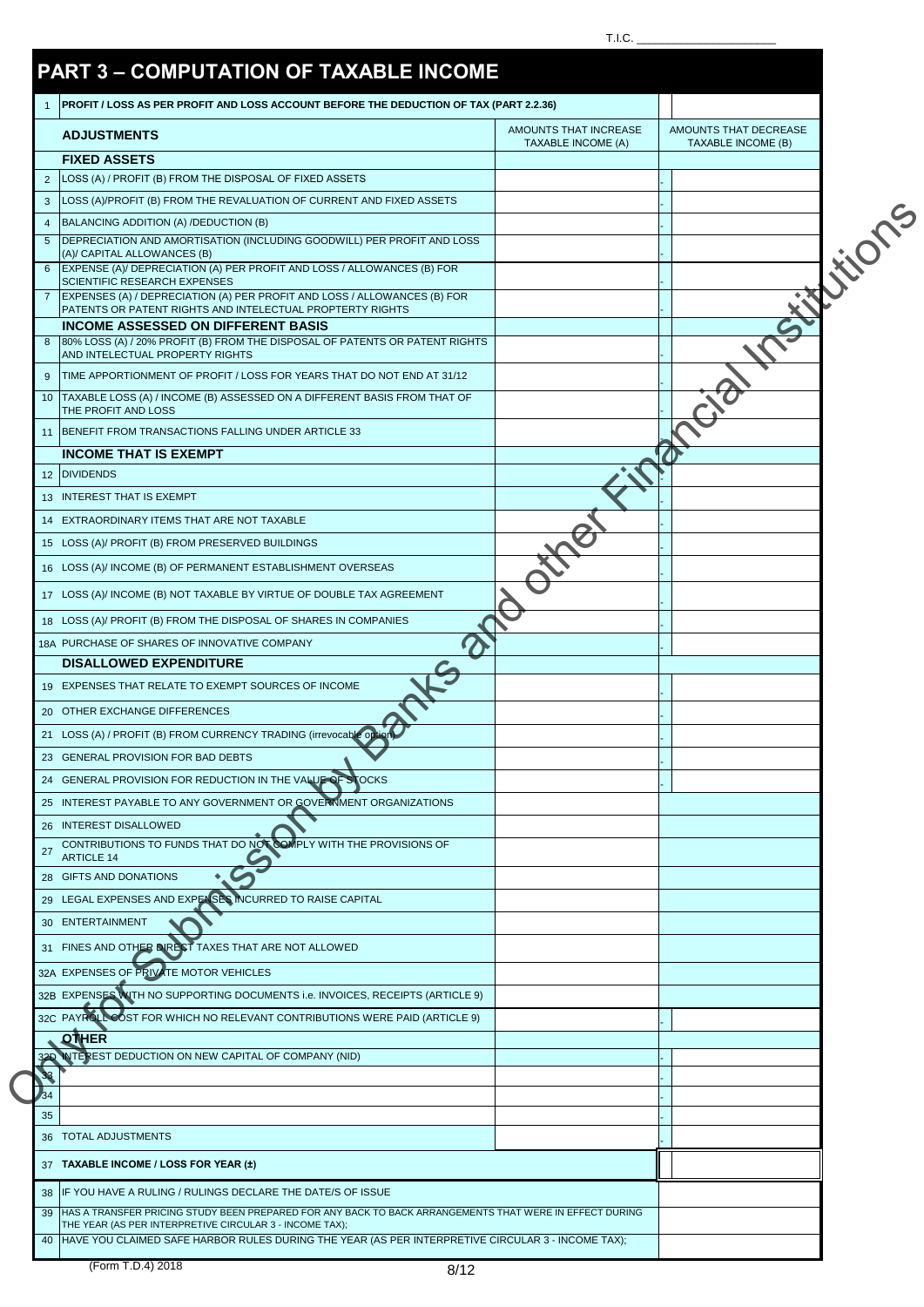## $T.I.C.$

|                 | <b>ADJUSTMENTS</b>                                                                                                                                                                                                                                                      | AMOUNTS THAT INCREASE<br><b>TAXABLE INCOME (A)</b> | AMOUNTS THAT DECREASE<br>TAXABLE INCOME (B) |
|-----------------|-------------------------------------------------------------------------------------------------------------------------------------------------------------------------------------------------------------------------------------------------------------------------|----------------------------------------------------|---------------------------------------------|
|                 | <b>FIXED ASSETS</b>                                                                                                                                                                                                                                                     |                                                    |                                             |
| $\overline{2}$  | LOSS (A) / PROFIT (B) FROM THE DISPOSAL OF FIXED ASSETS                                                                                                                                                                                                                 |                                                    |                                             |
| 3               | LOSS (A)/PROFIT (B) FROM THE REVALUATION OF CURRENT AND FIXED ASSETS                                                                                                                                                                                                    |                                                    |                                             |
| $\overline{4}$  | BALANCING ADDITION (A) /DEDUCTION (B)                                                                                                                                                                                                                                   |                                                    |                                             |
| 5               | DEPRECIATION AND AMORTISATION (INCLUDING GOODWILL) PER PROFIT AND LOSS<br>(A)/ CAPITAL ALLOWANCES (B)                                                                                                                                                                   |                                                    |                                             |
| 6               | EXPENSE (A)/ DEPRECIATION (A) PER PROFIT AND LOSS / ALLOWANCES (B) FOR                                                                                                                                                                                                  |                                                    |                                             |
| $\overline{7}$  | SCIENTIFIC RESEARCH EXPENSES<br>EXPENSES (A) / DEPRECIATION (A) PER PROFIT AND LOSS / ALLOWANCES (B) FOR                                                                                                                                                                |                                                    |                                             |
|                 | PATENTS OR PATENT RIGHTS AND INTELECTUAL PROPTERTY RIGHTS<br><b>INCOME ASSESSED ON DIFFERENT BASIS</b>                                                                                                                                                                  |                                                    |                                             |
| 8               | 80% LOSS (A) / 20% PROFIT (B) FROM THE DISPOSAL OF PATENTS OR PATENT RIGHTS                                                                                                                                                                                             |                                                    |                                             |
|                 | AND INTELECTUAL PROPERTY RIGHTS                                                                                                                                                                                                                                         |                                                    |                                             |
| 9               | TIME APPORTIONMENT OF PROFIT / LOSS FOR YEARS THAT DO NOT END AT 31/12                                                                                                                                                                                                  |                                                    |                                             |
| 10              | TAXABLE LOSS (A) / INCOME (B) ASSESSED ON A DIFFERENT BASIS FROM THAT OF<br>THE PROFIT AND LOSS                                                                                                                                                                         |                                                    |                                             |
|                 | 11 BENEFIT FROM TRANSACTIONS FALLING UNDER ARTICLE 33                                                                                                                                                                                                                   |                                                    |                                             |
|                 | <b>INCOME THAT IS EXEMPT</b>                                                                                                                                                                                                                                            |                                                    |                                             |
| 12 <sup>2</sup> | <b>DIVIDENDS</b>                                                                                                                                                                                                                                                        |                                                    |                                             |
|                 | 13 INTEREST THAT IS EXEMPT                                                                                                                                                                                                                                              |                                                    |                                             |
|                 | 14 EXTRAORDINARY ITEMS THAT ARE NOT TAXABLE                                                                                                                                                                                                                             |                                                    |                                             |
|                 | 15 LOSS (A)/ PROFIT (B) FROM PRESERVED BUILDINGS                                                                                                                                                                                                                        |                                                    |                                             |
|                 | 16 LOSS (A)/ INCOME (B) OF PERMANENT ESTABLISHMENT OVERSEAS                                                                                                                                                                                                             |                                                    |                                             |
|                 | 17 LOSS (A)/ INCOME (B) NOT TAXABLE BY VIRTUE OF DOUBLE TAX AGREEMENT                                                                                                                                                                                                   |                                                    |                                             |
|                 | 18 LOSS (A)/ PROFIT (B) FROM THE DISPOSAL OF SHARES IN COMPANIES                                                                                                                                                                                                        |                                                    |                                             |
|                 | 18A PURCHASE OF SHARES OF INNOVATIVE COMPANY                                                                                                                                                                                                                            |                                                    |                                             |
|                 | <b>DISALLOWED EXPENDITURE</b>                                                                                                                                                                                                                                           |                                                    |                                             |
|                 | 19 EXPENSES THAT RELATE TO EXEMPT SOURCES OF INCOME                                                                                                                                                                                                                     |                                                    |                                             |
|                 | 20 OTHER EXCHANGE DIFFERENCES                                                                                                                                                                                                                                           |                                                    |                                             |
|                 | 21 LOSS (A) / PROFIT (B) FROM CURRENCY TRADING (irrevocable option                                                                                                                                                                                                      |                                                    |                                             |
|                 | 23 GENERAL PROVISION FOR BAD DEBTS                                                                                                                                                                                                                                      |                                                    |                                             |
|                 | 24 GENERAL PROVISION FOR REDUCTION IN THE VALUE OF STOCKS                                                                                                                                                                                                               |                                                    |                                             |
|                 | 25 INTEREST PAYABLE TO ANY GOVERNMENT OR GOVERNMENT ORGANIZATIONS                                                                                                                                                                                                       |                                                    |                                             |
| 27              | 26 INTEREST DISALLOWED<br>CONTRIBUTIONS TO FUNDS THAT DO NOT COMPLY WITH THE PROVISIONS OF                                                                                                                                                                              |                                                    |                                             |
|                 | <b>ARTICLE 14</b><br>28 GIFTS AND DONATIONS                                                                                                                                                                                                                             |                                                    |                                             |
|                 | 29 LEGAL EXPENSES AND EXPENSES INCURRED TO RAISE CAPITAL                                                                                                                                                                                                                |                                                    |                                             |
|                 | 30 ENTERTAINMENT                                                                                                                                                                                                                                                        |                                                    |                                             |
|                 | 31 FINES AND OTHER DIRECT TAXES THAT ARE NOT ALLOWED                                                                                                                                                                                                                    |                                                    |                                             |
|                 | 32A EXPENSES OF PRIVATE MOTOR VEHICLES                                                                                                                                                                                                                                  |                                                    |                                             |
|                 | 32B EXPENSES WITH NO SUPPORTING DOCUMENTS i.e. INVOICES, RECEIPTS (ARTICLE 9)                                                                                                                                                                                           |                                                    |                                             |
|                 | 32C PAYROLL COST FOR WHICH NO RELEVANT CONTRIBUTIONS WERE PAID (ARTICLE 9)                                                                                                                                                                                              |                                                    |                                             |
|                 | <b>QTHER</b>                                                                                                                                                                                                                                                            |                                                    |                                             |
|                 | NTEREST DEDUCTION ON NEW CAPITAL OF COMPANY (NID)                                                                                                                                                                                                                       |                                                    |                                             |
|                 |                                                                                                                                                                                                                                                                         |                                                    |                                             |
| 35              |                                                                                                                                                                                                                                                                         |                                                    |                                             |
|                 | 36 TOTAL ADJUSTMENTS                                                                                                                                                                                                                                                    |                                                    |                                             |
|                 | 37 TAXABLE INCOME / LOSS FOR YEAR (±)                                                                                                                                                                                                                                   |                                                    |                                             |
|                 |                                                                                                                                                                                                                                                                         |                                                    |                                             |
|                 |                                                                                                                                                                                                                                                                         |                                                    |                                             |
| 38              | IF YOU HAVE A RULING / RULINGS DECLARE THE DATE/S OF ISSUE                                                                                                                                                                                                              |                                                    |                                             |
| 39<br>40        | HAS A TRANSFER PRICING STUDY BEEN PREPARED FOR ANY BACK TO BACK ARRANGEMENTS THAT WERE IN EFFECT DURING<br>THE YEAR (AS PER INTERPRETIVE CIRCULAR 3 - INCOME TAX);<br>HAVE YOU CLAIMED SAFE HARBOR RULES DURING THE YEAR (AS PER INTERPRETIVE CIRCULAR 3 - INCOME TAX); |                                                    |                                             |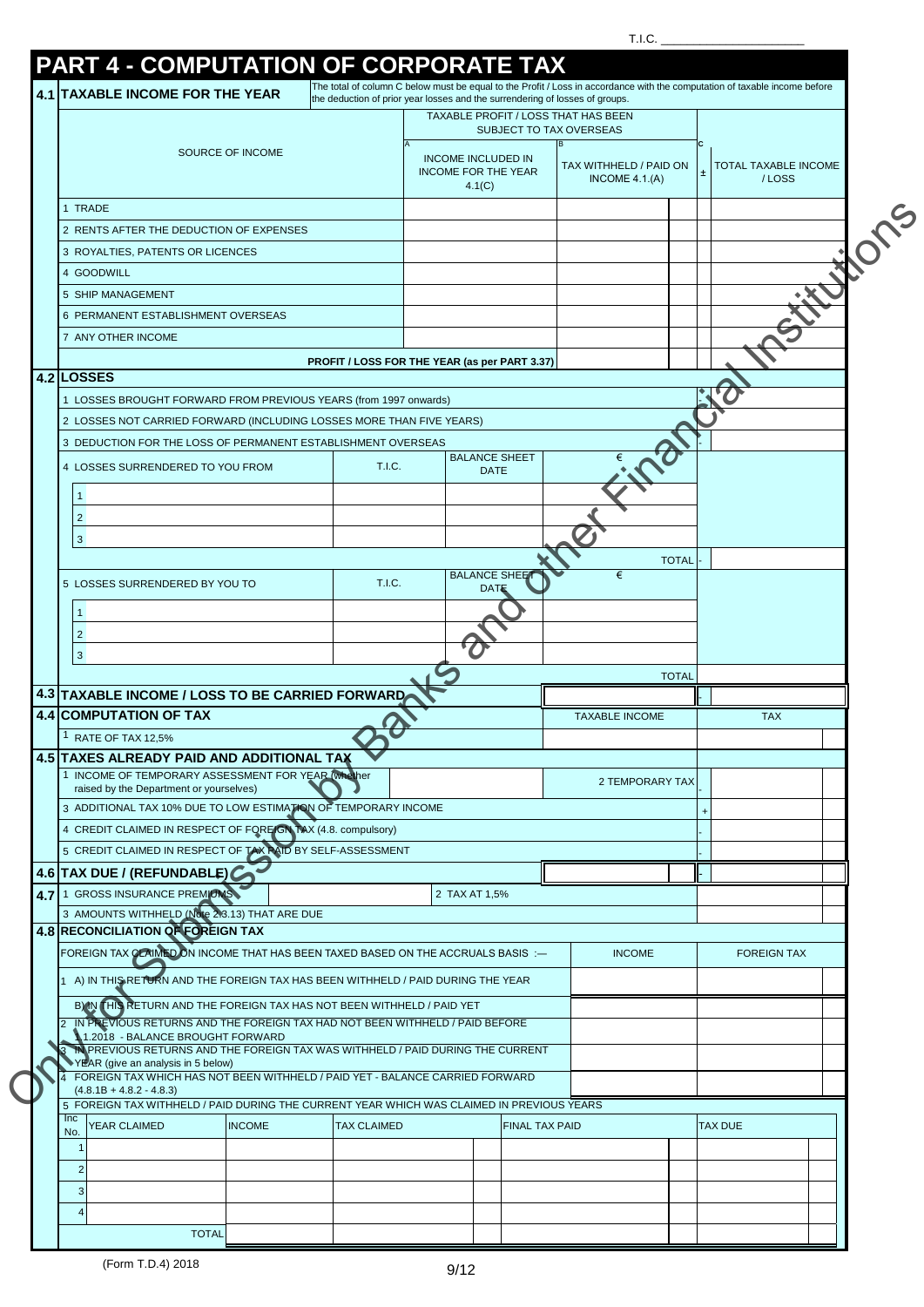T.I.C.  $\_\_$ 

|                                                                                                                         | the deduction of prior year losses and the surrendering of losses of groups. |                                                                   |                       | TAXABLE PROFIT / LOSS THAT HAS BEEN       |                        |   |                                      |
|-------------------------------------------------------------------------------------------------------------------------|------------------------------------------------------------------------------|-------------------------------------------------------------------|-----------------------|-------------------------------------------|------------------------|---|--------------------------------------|
|                                                                                                                         |                                                                              |                                                                   |                       | <b>SUBJECT TO TAX OVERSEAS</b>            |                        |   |                                      |
| SOURCE OF INCOME                                                                                                        |                                                                              | <b>INCOME INCLUDED IN</b><br><b>INCOME FOR THE YEAR</b><br>4.1(C) |                       | TAX WITHHELD / PAID ON<br>INCOME $4.1(A)$ |                        | 土 | <b>TOTAL TAXABLE INCOME</b><br>/LOSS |
| 1 TRADE                                                                                                                 |                                                                              |                                                                   |                       |                                           |                        |   |                                      |
| 2 RENTS AFTER THE DEDUCTION OF EXPENSES                                                                                 |                                                                              |                                                                   |                       |                                           |                        |   |                                      |
| 3 ROYALTIES, PATENTS OR LICENCES                                                                                        |                                                                              |                                                                   |                       |                                           |                        |   |                                      |
| 4 GOODWILL                                                                                                              |                                                                              |                                                                   |                       |                                           |                        |   |                                      |
| 5 SHIP MANAGEMENT                                                                                                       |                                                                              |                                                                   |                       |                                           |                        |   |                                      |
| 6 PERMANENT ESTABLISHMENT OVERSEAS                                                                                      |                                                                              |                                                                   |                       |                                           |                        |   |                                      |
| 7 ANY OTHER INCOME                                                                                                      |                                                                              |                                                                   |                       |                                           |                        |   |                                      |
|                                                                                                                         | PROFIT / LOSS FOR THE YEAR (as per PART 3.37)                                |                                                                   |                       |                                           |                        |   |                                      |
| 4.2 LOSSES                                                                                                              |                                                                              |                                                                   |                       |                                           |                        |   |                                      |
| 1 LOSSES BROUGHT FORWARD FROM PREVIOUS YEARS (from 1997 onwards)                                                        |                                                                              |                                                                   |                       |                                           |                        |   |                                      |
| 2 LOSSES NOT CARRIED FORWARD (INCLUDING LOSSES MORE THAN FIVE YEARS)                                                    |                                                                              |                                                                   |                       |                                           |                        |   |                                      |
| 3 DEDUCTION FOR THE LOSS OF PERMANENT ESTABLISHMENT OVERSEAS                                                            |                                                                              |                                                                   |                       |                                           |                        |   |                                      |
| 4 LOSSES SURRENDERED TO YOU FROM                                                                                        | T.I.C.                                                                       | <b>BALANCE SHEET</b><br><b>DATE</b>                               |                       |                                           |                        |   |                                      |
|                                                                                                                         |                                                                              |                                                                   |                       |                                           |                        |   |                                      |
|                                                                                                                         |                                                                              |                                                                   |                       |                                           |                        |   |                                      |
| $\overline{2}$<br>3                                                                                                     |                                                                              |                                                                   |                       |                                           |                        |   |                                      |
|                                                                                                                         |                                                                              |                                                                   |                       |                                           |                        |   |                                      |
|                                                                                                                         |                                                                              | <b>BALANCE SHEET</b>                                              |                       | €                                         | <b>TOTAL</b>           |   |                                      |
| 5 LOSSES SURRENDERED BY YOU TO                                                                                          | T.I.C.                                                                       | <b>DATE</b>                                                       |                       |                                           |                        |   |                                      |
|                                                                                                                         |                                                                              |                                                                   |                       |                                           |                        |   |                                      |
| $\overline{2}$                                                                                                          |                                                                              |                                                                   |                       |                                           |                        |   |                                      |
| 3                                                                                                                       |                                                                              |                                                                   |                       |                                           |                        |   |                                      |
|                                                                                                                         |                                                                              |                                                                   |                       |                                           | <b>TOTAL</b>           |   |                                      |
| 4.3 TAXABLE INCOME / LOSS TO BE CARRIED FORWARD                                                                         |                                                                              |                                                                   |                       |                                           |                        |   |                                      |
| 4.4 COMPUTATION OF TAX                                                                                                  |                                                                              |                                                                   |                       | <b>TAXABLE INCOME</b>                     |                        |   | <b>TAX</b>                           |
| 1<br>RATE OF TAX 12,5%                                                                                                  |                                                                              |                                                                   |                       |                                           |                        |   |                                      |
| 4.5 TAXES ALREADY PAID AND ADDITIONAL TAX<br>1 INCOME OF TEMPORARY ASSESSMENT FOR YEAR (Whether                         |                                                                              |                                                                   |                       |                                           |                        |   |                                      |
| raised by the Department or yourselves)                                                                                 |                                                                              |                                                                   |                       |                                           | <b>2 TEMPORARY TAX</b> |   |                                      |
| 3 ADDITIONAL TAX 10% DUE TO LOW ESTIMATION OF TEMPORARY INCOME                                                          |                                                                              |                                                                   |                       |                                           |                        |   |                                      |
| 4 CREDIT CLAIMED IN RESPECT OF FOREIGN TAX (4.8. compulsory)                                                            |                                                                              |                                                                   |                       |                                           |                        |   |                                      |
| 5 CREDIT CLAIMED IN RESPECT OF TAX RAID BY SELF-ASSESSMENT                                                              |                                                                              |                                                                   |                       |                                           |                        |   |                                      |
| 4.6 TAX DUE / (REFUNDABLE)                                                                                              |                                                                              |                                                                   |                       |                                           |                        |   |                                      |
| 4.7 1 GROSS INSURANCE PREMIUMS                                                                                          |                                                                              | 2 TAX AT 1,5%                                                     |                       |                                           |                        |   |                                      |
| 3 AMOUNTS WITHHELD (Note 2.8.13) THAT ARE DUE                                                                           |                                                                              |                                                                   |                       |                                           |                        |   |                                      |
| <b>4.8 RECONCILIATION OF FOREIGN TAX</b>                                                                                |                                                                              |                                                                   |                       |                                           |                        |   |                                      |
| FOREIGN TAX CLAIMED ON INCOME THAT HAS BEEN TAXED BASED ON THE ACCRUALS BASIS :-                                        |                                                                              |                                                                   |                       | <b>INCOME</b>                             |                        |   | <b>FOREIGN TAX</b>                   |
| 1 A) IN THIS RETURN AND THE FOREIGN TAX HAS BEEN WITHHELD / PAID DURING THE YEAR                                        |                                                                              |                                                                   |                       |                                           |                        |   |                                      |
| B) IN THIS RETURN AND THE FOREIGN TAX HAS NOT BEEN WITHHELD / PAID YET                                                  |                                                                              |                                                                   |                       |                                           |                        |   |                                      |
| IN PREVIOUS RETURNS AND THE FOREIGN TAX HAD NOT BEEN WITHHELD / PAID BEFORE                                             |                                                                              |                                                                   |                       |                                           |                        |   |                                      |
| 1.2018 - BALANCE BROUGHT FORWARD<br>N PREVIOUS RETURNS AND THE FOREIGN TAX WAS WITHHELD / PAID DURING THE CURRENT       |                                                                              |                                                                   |                       |                                           |                        |   |                                      |
| YEAR (give an analysis in 5 below)                                                                                      |                                                                              |                                                                   |                       |                                           |                        |   |                                      |
| FOREIGN TAX WHICH HAS NOT BEEN WITHHELD / PAID YET - BALANCE CARRIED FORWARD                                            |                                                                              |                                                                   |                       |                                           |                        |   |                                      |
|                                                                                                                         |                                                                              |                                                                   |                       |                                           |                        |   |                                      |
| $(4.8.1B + 4.8.2 - 4.8.3)$<br>5 FOREIGN TAX WITHHELD / PAID DURING THE CURRENT YEAR WHICH WAS CLAIMED IN PREVIOUS YEARS |                                                                              |                                                                   |                       |                                           |                        |   | <b>TAX DUE</b>                       |
| Inc<br>YEAR CLAIMED<br><b>INCOME</b>                                                                                    | <b>TAX CLAIMED</b>                                                           |                                                                   | <b>FINAL TAX PAID</b> |                                           |                        |   |                                      |
| No.                                                                                                                     |                                                                              |                                                                   |                       |                                           |                        |   |                                      |
| $\overline{2}$                                                                                                          |                                                                              |                                                                   |                       |                                           |                        |   |                                      |
| 3                                                                                                                       |                                                                              |                                                                   |                       |                                           |                        |   |                                      |
| $\overline{4}$                                                                                                          |                                                                              |                                                                   |                       |                                           |                        |   |                                      |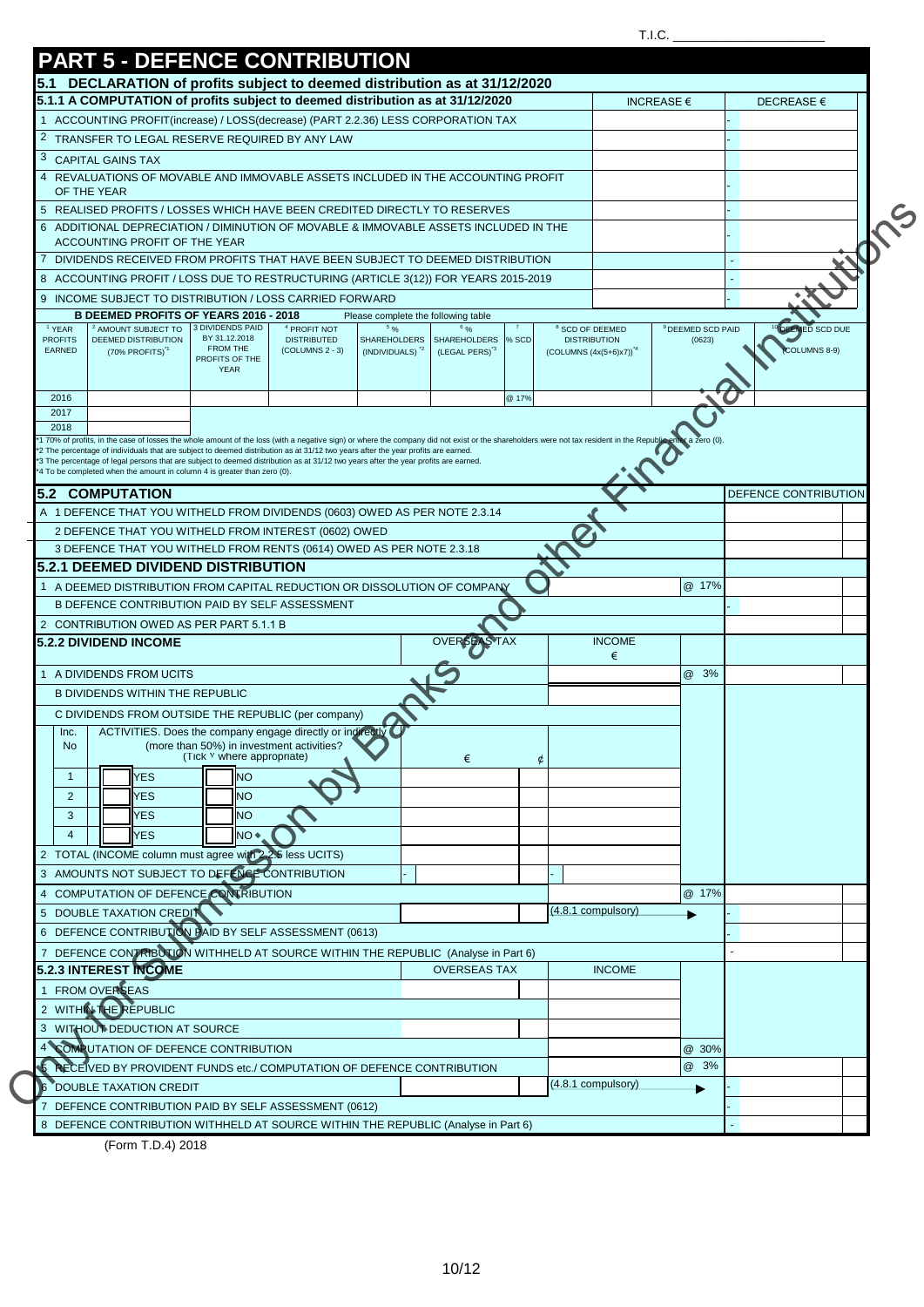|                                 | <b>PART 5 - DEFENCE CONTRIBUTION</b>                                                                                                                                                                                                                                                                                                            |                                           |                                            |                                            |                                     |       |                                                       |                              |                       |  |
|---------------------------------|-------------------------------------------------------------------------------------------------------------------------------------------------------------------------------------------------------------------------------------------------------------------------------------------------------------------------------------------------|-------------------------------------------|--------------------------------------------|--------------------------------------------|-------------------------------------|-------|-------------------------------------------------------|------------------------------|-----------------------|--|
|                                 | 5.1 DECLARATION of profits subject to deemed distribution as at 31/12/2020                                                                                                                                                                                                                                                                      |                                           |                                            |                                            |                                     |       |                                                       |                              |                       |  |
|                                 | 5.1.1 A COMPUTATION of profits subject to deemed distribution as at 31/12/2020                                                                                                                                                                                                                                                                  |                                           |                                            |                                            |                                     |       |                                                       | INCREASE $\epsilon$          | DECREASE €            |  |
|                                 | ACCOUNTING PROFIT(increase) / LOSS(decrease) (PART 2.2.36) LESS CORPORATION TAX                                                                                                                                                                                                                                                                 |                                           |                                            |                                            |                                     |       |                                                       |                              |                       |  |
| 2                               | TRANSFER TO LEGAL RESERVE REQUIRED BY ANY LAW                                                                                                                                                                                                                                                                                                   |                                           |                                            |                                            |                                     |       |                                                       |                              |                       |  |
| 3                               | <b>CAPITAL GAINS TAX</b>                                                                                                                                                                                                                                                                                                                        |                                           |                                            |                                            |                                     |       |                                                       |                              |                       |  |
|                                 | 4 REVALUATIONS OF MOVABLE AND IMMOVABLE ASSETS INCLUDED IN THE ACCOUNTING PROFIT                                                                                                                                                                                                                                                                |                                           |                                            |                                            |                                     |       |                                                       |                              |                       |  |
|                                 | OF THE YEAR                                                                                                                                                                                                                                                                                                                                     |                                           |                                            |                                            |                                     |       |                                                       |                              |                       |  |
|                                 | 5 REALISED PROFITS / LOSSES WHICH HAVE BEEN CREDITED DIRECTLY TO RESERVES                                                                                                                                                                                                                                                                       |                                           |                                            |                                            |                                     |       |                                                       |                              |                       |  |
|                                 | 6 ADDITIONAL DEPRECIATION / DIMINUTION OF MOVABLE & IMMOVABLE ASSETS INCLUDED IN THE<br>ACCOUNTING PROFIT OF THE YEAR                                                                                                                                                                                                                           |                                           |                                            |                                            |                                     |       |                                                       |                              |                       |  |
|                                 | 7 DIVIDENDS RECEIVED FROM PROFITS THAT HAVE BEEN SUBJECT TO DEEMED DISTRIBUTION                                                                                                                                                                                                                                                                 |                                           |                                            |                                            |                                     |       |                                                       |                              |                       |  |
|                                 | 8 ACCOUNTING PROFIT / LOSS DUE TO RESTRUCTURING (ARTICLE 3(12)) FOR YEARS 2015-2019                                                                                                                                                                                                                                                             |                                           |                                            |                                            |                                     |       |                                                       |                              |                       |  |
|                                 | 9 INCOME SUBJECT TO DISTRIBUTION / LOSS CARRIED FORWARD                                                                                                                                                                                                                                                                                         |                                           |                                            |                                            |                                     |       |                                                       |                              |                       |  |
|                                 | <b>B DEEMED PROFITS OF YEARS 2016 - 2018</b>                                                                                                                                                                                                                                                                                                    |                                           |                                            |                                            | Please complete the following table |       |                                                       |                              |                       |  |
| <sup>1</sup> YEAR               | <sup>2</sup> AMOUNT SUBJECT TO                                                                                                                                                                                                                                                                                                                  | 3 DIVIDENDS PAID<br>BY 31.12.2018         | <sup>4</sup> PROFIT NOT                    | $5 \frac{6}{6}$                            | <b>SHAREHOLDERS</b>                 |       | <sup>8</sup> SCD OF DEEMED                            | <sup>9</sup> DEEMED SCD PAID | <b>DEEMED SCD DUE</b> |  |
| <b>PROFITS</b><br><b>EARNED</b> | DEEMED DISTRIBUTION<br>(70% PROFITS) <sup>1</sup>                                                                                                                                                                                                                                                                                               | FROM THE                                  | <b>DISTRIBUTED</b><br>$(COLUTIONNS 2 - 3)$ | SHAREHOLDERS<br>(INDIVIDUALS) <sup>2</sup> | (LEGAL PERS) <sup>3</sup>           | % SCD | <b>DISTRIBUTION</b><br>$(COLUTIONNS (4x(5+6)x7))^{4}$ | (0623)                       | COLUMNS 8-9)          |  |
|                                 |                                                                                                                                                                                                                                                                                                                                                 | PROFITS OF THE<br><b>YEAR</b>             |                                            |                                            |                                     |       |                                                       |                              |                       |  |
|                                 |                                                                                                                                                                                                                                                                                                                                                 |                                           |                                            |                                            |                                     |       |                                                       |                              |                       |  |
| 2016<br>2017                    |                                                                                                                                                                                                                                                                                                                                                 |                                           |                                            |                                            |                                     | @ 17% |                                                       |                              |                       |  |
| 2018                            |                                                                                                                                                                                                                                                                                                                                                 |                                           |                                            |                                            |                                     |       |                                                       |                              |                       |  |
|                                 | 1 70% of profits, in the case of losses the whole amount of the loss (with a negative sign) or where the company did not exist or the shareholders were not tax resident in the Republic enter a zero (0).<br>*2 The percentage of individuals that are subject to deemed distribution as at 31/12 two years after the year profits are earned. |                                           |                                            |                                            |                                     |       |                                                       |                              |                       |  |
|                                 | *3 The percentage of legal persons that are subject to deemed distribution as at 31/12 two years after the year profits are earned.<br>*4 To be completed when the amount in column 4 is greater than zero (0).                                                                                                                                 |                                           |                                            |                                            |                                     |       |                                                       |                              |                       |  |
|                                 |                                                                                                                                                                                                                                                                                                                                                 |                                           |                                            |                                            |                                     |       |                                                       |                              |                       |  |
|                                 | <b>5.2 COMPUTATION</b>                                                                                                                                                                                                                                                                                                                          |                                           |                                            |                                            |                                     |       |                                                       |                              | DEFENCE CONTRIBUTION  |  |
|                                 | A 1 DEFENCE THAT YOU WITHELD FROM DIVIDENDS (0603) OWED AS PER NOTE 2.3.14                                                                                                                                                                                                                                                                      |                                           |                                            |                                            |                                     |       |                                                       |                              |                       |  |
|                                 | 2 DEFENCE THAT YOU WITHELD FROM INTEREST (0602) OWED                                                                                                                                                                                                                                                                                            |                                           |                                            |                                            |                                     |       |                                                       |                              |                       |  |
|                                 |                                                                                                                                                                                                                                                                                                                                                 |                                           |                                            |                                            |                                     |       |                                                       |                              |                       |  |
|                                 | 3 DEFENCE THAT YOU WITHELD FROM RENTS (0614) OWED AS PER NOTE 2.3.18                                                                                                                                                                                                                                                                            |                                           |                                            |                                            |                                     |       |                                                       |                              |                       |  |
|                                 | <b>5.2.1 DEEMED DIVIDEND DISTRIBUTION</b>                                                                                                                                                                                                                                                                                                       |                                           |                                            |                                            |                                     |       |                                                       |                              |                       |  |
|                                 | 1 A DEEMED DISTRIBUTION FROM CAPITAL REDUCTION OR DISSOLUTION OF COMPANY                                                                                                                                                                                                                                                                        |                                           |                                            |                                            |                                     |       |                                                       | @ 17%                        |                       |  |
|                                 | B DEFENCE CONTRIBUTION PAID BY SELF ASSESSMENT                                                                                                                                                                                                                                                                                                  |                                           |                                            |                                            |                                     |       |                                                       |                              |                       |  |
|                                 | 2 CONTRIBUTION OWED AS PER PART 5.1.1 B                                                                                                                                                                                                                                                                                                         |                                           |                                            |                                            |                                     |       |                                                       |                              |                       |  |
|                                 | <b>5.2.2 DIVIDEND INCOME</b>                                                                                                                                                                                                                                                                                                                    |                                           |                                            |                                            | <b>OVERSEAS TAX</b>                 |       | <b>INCOME</b><br>€                                    |                              |                       |  |
|                                 | A DIVIDENDS FROM UCITS                                                                                                                                                                                                                                                                                                                          |                                           |                                            |                                            |                                     |       |                                                       | @ 3%                         |                       |  |
|                                 | <b>B DIVIDENDS WITHIN THE REPUBLIC</b>                                                                                                                                                                                                                                                                                                          |                                           |                                            |                                            |                                     |       |                                                       |                              |                       |  |
|                                 | C DIVIDENDS FROM OUTSIDE THE REPUBLIC (per company)                                                                                                                                                                                                                                                                                             |                                           |                                            |                                            |                                     |       |                                                       |                              |                       |  |
| Inc.                            | ACTIVITIES. Does the company engage directly or indirectly                                                                                                                                                                                                                                                                                      |                                           |                                            |                                            |                                     |       |                                                       |                              |                       |  |
| <b>No</b>                       |                                                                                                                                                                                                                                                                                                                                                 | (more than 50%) in investment activities? |                                            |                                            |                                     |       |                                                       |                              |                       |  |
|                                 |                                                                                                                                                                                                                                                                                                                                                 | (Tick Y where appropriate)                |                                            |                                            | €                                   |       |                                                       |                              |                       |  |
| $\mathbf{1}$                    | <b>YES</b>                                                                                                                                                                                                                                                                                                                                      | <b>NO</b>                                 |                                            |                                            |                                     |       |                                                       |                              |                       |  |
| $\overline{2}$                  | <b>YES</b>                                                                                                                                                                                                                                                                                                                                      | NO.                                       |                                            |                                            |                                     |       |                                                       |                              |                       |  |
| 3                               | <b>YES</b>                                                                                                                                                                                                                                                                                                                                      | NO.                                       |                                            |                                            |                                     |       |                                                       |                              |                       |  |
| 4                               | <b>YES</b>                                                                                                                                                                                                                                                                                                                                      | NO <sup>+</sup>                           |                                            |                                            |                                     |       |                                                       |                              |                       |  |
|                                 | 2 TOTAL (INCOME column must agree with 2.2.5 less UCITS)                                                                                                                                                                                                                                                                                        |                                           |                                            |                                            |                                     |       |                                                       |                              |                       |  |
|                                 | 3 AMOUNTS NOT SUBJECT TO DEFENCE CONTRIBUTION                                                                                                                                                                                                                                                                                                   |                                           |                                            |                                            |                                     |       |                                                       |                              |                       |  |
|                                 | 4 COMPUTATION OF DEFENCE CONTRIBUTION                                                                                                                                                                                                                                                                                                           |                                           |                                            |                                            |                                     |       |                                                       | @ 17%                        |                       |  |
|                                 | 5 DOUBLE TAXATION CREDIT                                                                                                                                                                                                                                                                                                                        |                                           |                                            |                                            |                                     |       | (4.8.1 compulsory)                                    |                              |                       |  |
|                                 | 6 DEFENCE CONTRIBUTION PAID BY SELF ASSESSMENT (0613)                                                                                                                                                                                                                                                                                           |                                           |                                            |                                            |                                     |       |                                                       |                              |                       |  |
|                                 | DEFENCE CONTRIBUTION WITHHELD AT SOURCE WITHIN THE REPUBLIC (Analyse in Part 6)                                                                                                                                                                                                                                                                 |                                           |                                            |                                            |                                     |       |                                                       |                              |                       |  |
|                                 | <b>5.2.3 INTEREST INCOME</b>                                                                                                                                                                                                                                                                                                                    |                                           |                                            |                                            | <b>OVERSEAS TAX</b>                 |       | <b>INCOME</b>                                         |                              |                       |  |
|                                 | 1 FROM OVERSEAS                                                                                                                                                                                                                                                                                                                                 |                                           |                                            |                                            |                                     |       |                                                       |                              |                       |  |
|                                 | 2 WITHIN THE REPUBLIC                                                                                                                                                                                                                                                                                                                           |                                           |                                            |                                            |                                     |       |                                                       |                              |                       |  |
|                                 | 3 WITHOUT DEDUCTION AT SOURCE                                                                                                                                                                                                                                                                                                                   |                                           |                                            |                                            |                                     |       |                                                       |                              |                       |  |
|                                 | <b>COMPUTATION OF DEFENCE CONTRIBUTION</b>                                                                                                                                                                                                                                                                                                      |                                           |                                            |                                            |                                     |       |                                                       | @ 30%                        |                       |  |
|                                 | RECEIVED BY PROVIDENT FUNDS etc./ COMPUTATION OF DEFENCE CONTRIBUTION                                                                                                                                                                                                                                                                           |                                           |                                            |                                            |                                     |       |                                                       | @ 3%                         |                       |  |
|                                 |                                                                                                                                                                                                                                                                                                                                                 |                                           |                                            |                                            |                                     |       | (4.8.1 compulsory)                                    |                              |                       |  |
|                                 | DOUBLE TAXATION CREDIT<br>DEFENCE CONTRIBUTION PAID BY SELF ASSESSMENT (0612)                                                                                                                                                                                                                                                                   |                                           |                                            |                                            |                                     |       |                                                       |                              |                       |  |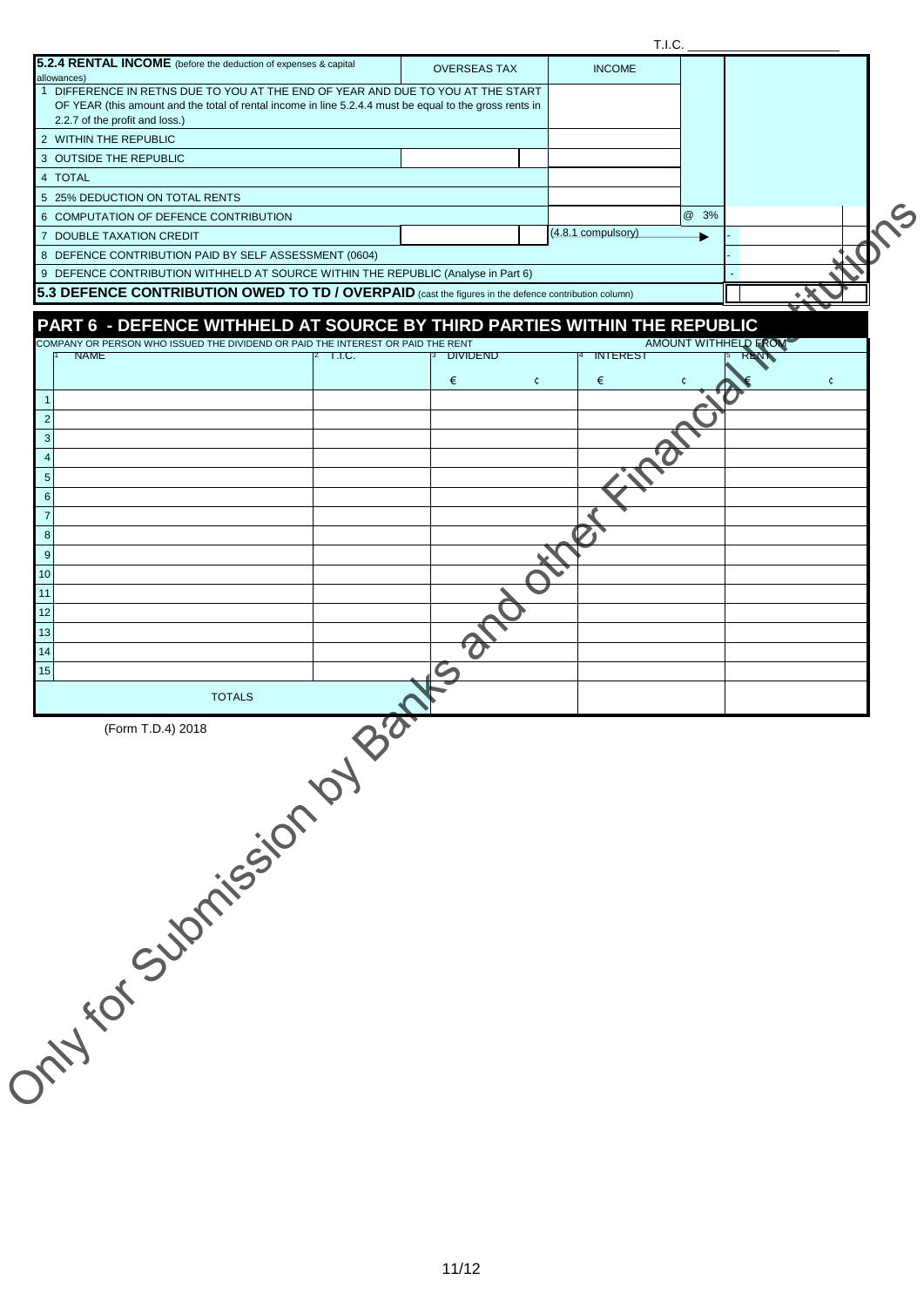| 5.2.4 RENTAL INCOME (before the deduction of expenses & capital                                                                                                                            |                     |                    | T.I.C.                      |                |
|--------------------------------------------------------------------------------------------------------------------------------------------------------------------------------------------|---------------------|--------------------|-----------------------------|----------------|
| allowances)                                                                                                                                                                                | <b>OVERSEAS TAX</b> | <b>INCOME</b>      |                             |                |
| 1 DIFFERENCE IN RETNS DUE TO YOU AT THE END OF YEAR AND DUE TO YOU AT THE START<br>OF YEAR (this amount and the total of rental income in line 5.2.4.4 must be equal to the gross rents in |                     |                    |                             |                |
| 2.2.7 of the profit and loss.)                                                                                                                                                             |                     |                    |                             |                |
| 2 WITHIN THE REPUBLIC                                                                                                                                                                      |                     |                    |                             |                |
| 3 OUTSIDE THE REPUBLIC                                                                                                                                                                     |                     |                    |                             |                |
| 4 TOTAL<br>5 25% DEDUCTION ON TOTAL RENTS                                                                                                                                                  |                     |                    |                             |                |
| 6 COMPUTATION OF DEFENCE CONTRIBUTION                                                                                                                                                      |                     |                    | @ 3%                        |                |
| 7 DOUBLE TAXATION CREDIT                                                                                                                                                                   |                     | (4.8.1 compulsory) |                             |                |
| 8 DEFENCE CONTRIBUTION PAID BY SELF ASSESSMENT (0604)                                                                                                                                      |                     |                    |                             |                |
| 9 DEFENCE CONTRIBUTION WITHHELD AT SOURCE WITHIN THE REPUBLIC (Analyse in Part 6)                                                                                                          |                     |                    |                             |                |
| 5.3 DEFENCE CONTRIBUTION OWED TO TD / OVERPAID (cast the figures in the defence contribution column)                                                                                       |                     |                    |                             |                |
|                                                                                                                                                                                            |                     |                    |                             |                |
| PART 6 - DEFENCE WITHHELD AT SOURCE BY THIRD PARTIES WITHIN THE REPUBLIC                                                                                                                   |                     |                    |                             |                |
| COMPANY OR PERSON WHO ISSUED THE DIVIDEND OR PAID THE INTEREST OR PAID THE RENT<br><b>NAME</b><br>T.I.C.                                                                                   | <b>DIVIDEND</b>     | <b>INTEREST</b>    | <b>AMOUNT WITHHELD FROM</b> |                |
|                                                                                                                                                                                            |                     |                    |                             |                |
|                                                                                                                                                                                            | €<br>$\mathfrak{c}$ | €                  |                             | $\mathfrak{c}$ |
|                                                                                                                                                                                            |                     |                    |                             |                |
| $\overline{2}$                                                                                                                                                                             |                     |                    |                             |                |
| 3                                                                                                                                                                                          |                     |                    |                             |                |
|                                                                                                                                                                                            |                     |                    |                             |                |
| 5                                                                                                                                                                                          |                     |                    |                             |                |
| 6                                                                                                                                                                                          |                     |                    |                             |                |
|                                                                                                                                                                                            |                     |                    |                             |                |
| 8<br>9                                                                                                                                                                                     |                     |                    |                             |                |
| 10                                                                                                                                                                                         |                     |                    |                             |                |
|                                                                                                                                                                                            |                     |                    |                             |                |
| 12                                                                                                                                                                                         |                     |                    |                             |                |
| 13                                                                                                                                                                                         |                     |                    |                             |                |
| 14                                                                                                                                                                                         |                     |                    |                             |                |
| 15 <sup>1</sup>                                                                                                                                                                            |                     |                    |                             |                |
|                                                                                                                                                                                            |                     |                    |                             |                |
|                                                                                                                                                                                            |                     |                    |                             |                |
|                                                                                                                                                                                            |                     |                    |                             |                |
|                                                                                                                                                                                            |                     |                    |                             |                |
|                                                                                                                                                                                            |                     |                    |                             |                |
|                                                                                                                                                                                            |                     |                    |                             |                |
|                                                                                                                                                                                            |                     |                    |                             |                |
|                                                                                                                                                                                            |                     |                    |                             |                |
|                                                                                                                                                                                            |                     |                    |                             |                |
|                                                                                                                                                                                            |                     |                    |                             |                |
|                                                                                                                                                                                            |                     |                    |                             |                |
| Jimy tot Submission by Bat                                                                                                                                                                 |                     |                    |                             |                |